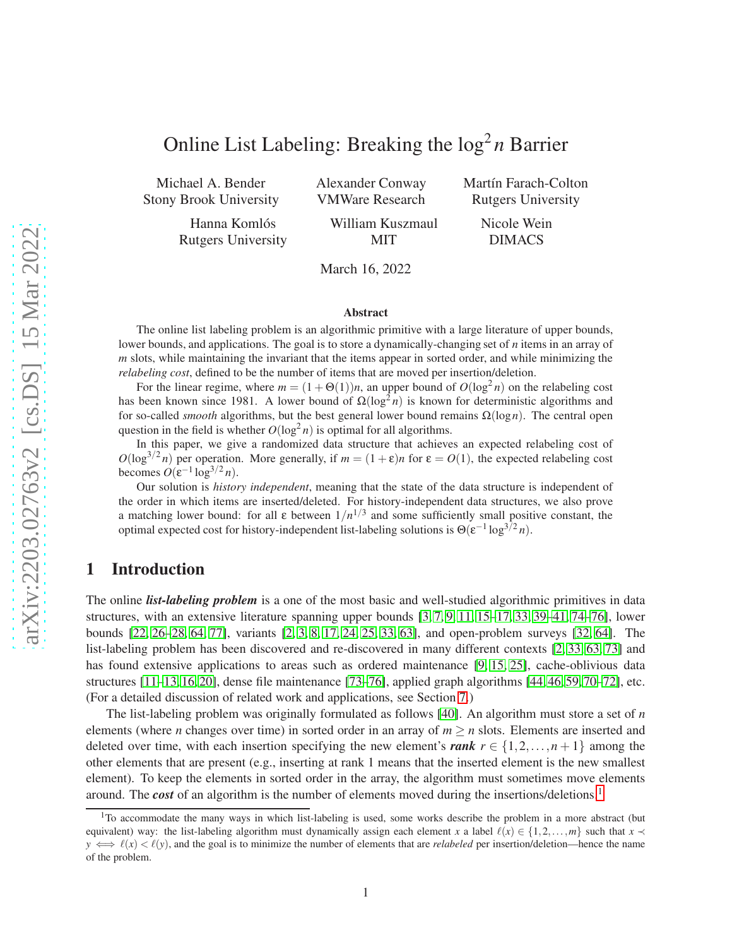# Online List Labeling: Breaking the  $\log^2 n$  Barrier

Michael A. Bender Stony Brook University

> Hanna Komlós Rutgers University

Alexander Conway VMWare Research

Martín Farach-Colton Rutgers University

William Kuszmaul MIT

Nicole Wein DIMACS

March 16, 2022

#### Abstract

The online list labeling problem is an algorithmic primitive with a large literature of upper bounds, lower bounds, and applications. The goal is to store a dynamically-changing set of *n* items in an array of *m* slots, while maintaining the invariant that the items appear in sorted order, and while minimizing the *relabeling cost*, defined to be the number of items that are moved per insertion/deletion.

For the linear regime, where  $m = (1 + \Theta(1))n$ , an upper bound of  $O(\log^2 n)$  on the relabeling cost has been known since 1981. A lower bound of  $\Omega(\log^2 n)$  is known for deterministic algorithms and for so-called *smooth* algorithms, but the best general lower bound remains  $\Omega(\log n)$ . The central open question in the field is whether  $O(\log^2 n)$  is optimal for all algorithms.

In this paper, we give a randomized data structure that achieves an expected relabeling cost of  $O(\log^{3/2} n)$  per operation. More generally, if  $m = (1 + \varepsilon)n$  for  $\varepsilon = O(1)$ , the expected relabeling cost becomes  $O(\varepsilon^{-1} \log^{3/2} n)$ .

Our solution is *history independent*, meaning that the state of the data structure is independent of the order in which items are inserted/deleted. For history-independent data structures, we also prove a matching lower bound: for all  $\varepsilon$  between  $1/n^{1/3}$  and some sufficiently small positive constant, the optimal expected cost for history-independent list-labeling solutions is  $\Theta(\epsilon^{-1} \log^{3/2} n)$ .

# 1 Introduction

The online *list-labeling problem* is a one of the most basic and well-studied algorithmic primitives in data structures, with an extensive literature spanning upper bounds [\[3,](#page-25-0) [7,](#page-26-0) [9,](#page-26-1) [11,](#page-26-2) [15](#page-26-3)[–17,](#page-26-4) [33,](#page-27-0) [39](#page-28-0)[–41,](#page-28-1) [74–](#page-30-0)[76\]](#page-30-1), lower bounds [\[22,](#page-27-1) [26–](#page-27-2)[28,](#page-27-3) [64,](#page-29-0) [77\]](#page-30-2), variants [\[2,](#page-25-1) [3,](#page-25-0) [8,](#page-26-5) [17,](#page-26-4) [24,](#page-27-4) [25,](#page-27-5) [33,](#page-27-0) [63\]](#page-29-1), and open-problem surveys [\[32,](#page-27-6) [64\]](#page-29-0). The list-labeling problem has been discovered and re-discovered in many different contexts [\[2,](#page-25-1) [33,](#page-27-0) [63,](#page-29-1) [73\]](#page-30-3) and has found extensive applications to areas such as ordered maintenance [\[9,](#page-26-1) [15,](#page-26-3) [25\]](#page-27-5), cache-oblivious data structures [\[11–](#page-26-2)[13,](#page-26-6) [16,](#page-26-7) [20\]](#page-26-8), dense file maintenance [\[73–](#page-30-3)[76\]](#page-30-1), applied graph algorithms [\[44,](#page-28-2) [46,](#page-28-3) [59,](#page-29-2) [70–](#page-30-4)[72\]](#page-30-5), etc. (For a detailed discussion of related work and applications, see Section [7.](#page-23-0))

The list-labeling problem was originally formulated as follows [\[40\]](#page-28-4). An algorithm must store a set of *n* elements (where *n* changes over time) in sorted order in an array of  $m \ge n$  slots. Elements are inserted and deleted over time, with each insertion specifying the new element's *rank*  $r \in \{1,2,\ldots,n+1\}$  among the other elements that are present (e.g., inserting at rank 1 means that the inserted element is the new smallest element). To keep the elements in sorted order in the array, the algorithm must sometimes move elements around. The *cost* of an algorithm is the number of elements moved during the insertions/deletions.[1](#page-0-0)

<span id="page-0-0"></span> $1$ To accommodate the many ways in which list-labeling is used, some works describe the problem in a more abstract (but equivalent) way: the list-labeling algorithm must dynamically assign each element *x* a label  $\ell(x) \in \{1, 2, ..., m\}$  such that  $x \prec$  $y \iff \ell(x) < \ell(y)$ , and the goal is to minimize the number of elements that are *relabeled* per insertion/deletion—hence the name of the problem.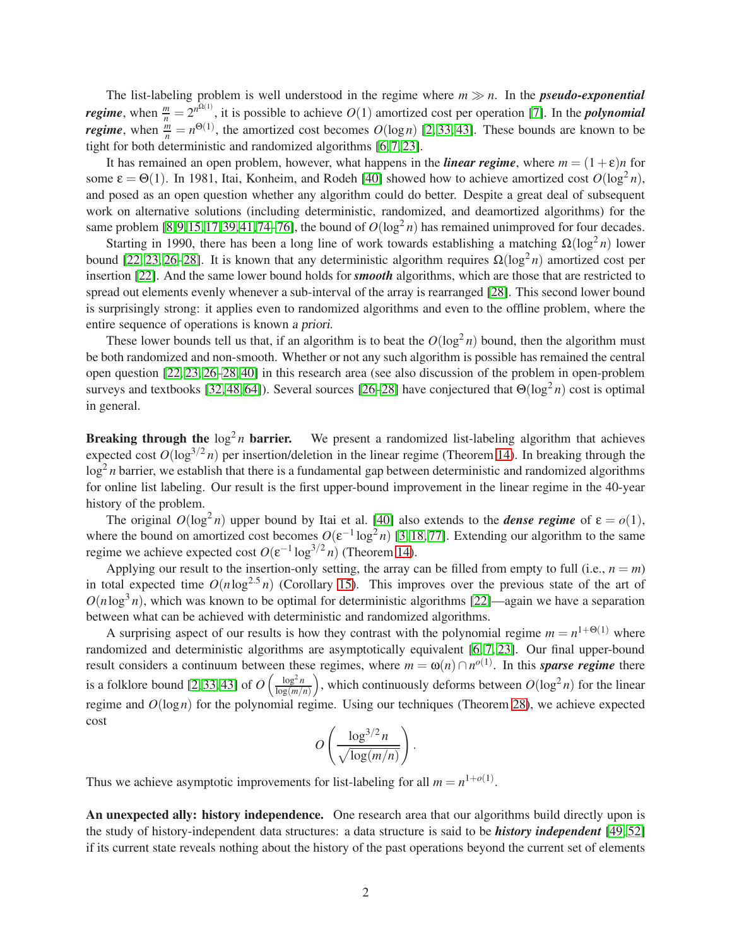The list-labeling problem is well understood in the regime where  $m \gg n$ . In the **pseudo-exponential** *regime*, when  $\frac{m}{n} = 2^{n^{\Omega(1)}}$ , it is possible to achieve  $O(1)$  amortized cost per operation [\[7\]](#page-26-0). In the *polynomial regime*, when  $\frac{m}{n} = n^{\Theta(1)}$ , the amortized cost becomes  $O(\log n)$  [\[2,](#page-25-1) [33,](#page-27-0) [43\]](#page-28-5). These bounds are known to be tight for both deterministic and randomized algorithms [\[6,](#page-26-9) [7,](#page-26-0) [23\]](#page-27-7).

It has remained an open problem, however, what happens in the *linear regime*, where  $m = (1 + \varepsilon)n$  for some  $\varepsilon = \Theta(1)$ . In 1981, Itai, Konheim, and Rodeh [\[40\]](#page-28-4) showed how to achieve amortized cost  $O(\log^2 n)$ , and posed as an open question whether any algorithm could do better. Despite a great deal of subsequent work on alternative solutions (including deterministic, randomized, and deamortized algorithms) for the same problem [\[8,](#page-26-5)[9,](#page-26-1)[15,](#page-26-3)[17,](#page-26-4)[39,](#page-28-0)[41,](#page-28-1)[74](#page-30-0)[–76\]](#page-30-1), the bound of  $O(log<sup>2</sup> n)$  has remained unimproved for four decades.

Starting in 1990, there has been a long line of work towards establishing a matching  $\Omega(\log^2 n)$  lower bound [\[22,](#page-27-1) [23,](#page-27-7) [26–](#page-27-2)[28\]](#page-27-3). It is known that any deterministic algorithm requires  $\Omega(\log^2 n)$  amortized cost per insertion [\[22\]](#page-27-1). And the same lower bound holds for *smooth* algorithms, which are those that are restricted to spread out elements evenly whenever a sub-interval of the array is rearranged [\[28\]](#page-27-3). This second lower bound is surprisingly strong: it applies even to randomized algorithms and even to the offline problem, where the entire sequence of operations is known <sup>a</sup> priori.

These lower bounds tell us that, if an algorithm is to beat the  $O(\log^2 n)$  bound, then the algorithm must be both randomized and non-smooth. Whether or not any such algorithm is possible has remained the central open question [\[22,](#page-27-1) [23,](#page-27-7) [26–](#page-27-2)[28,](#page-27-3) [40\]](#page-28-4) in this research area (see also discussion of the problem in open-problem surveys and textbooks [\[32,](#page-27-6) [48,](#page-28-6) [64\]](#page-29-0)). Several sources [\[26](#page-27-2)[–28\]](#page-27-3) have conjectured that  $\Theta(\log^2 n)$  cost is optimal in general.

Breaking through the  $\log^2 n$  barrier. We present a randomized list-labeling algorithm that achieves expected cost  $O(\log^{3/2} n)$  per insertion/deletion in the linear regime (Theorem [14\)](#page-13-0). In breaking through the log<sup>2</sup> *n* barrier, we establish that there is a fundamental gap between deterministic and randomized algorithms for online list labeling. Our result is the first upper-bound improvement in the linear regime in the 40-year history of the problem.

The original  $O(\log^2 n)$  upper bound by Itai et al. [\[40\]](#page-28-4) also extends to the *dense regime* of  $\varepsilon = o(1)$ , where the bound on amortized cost becomes  $O(\varepsilon^{-1} \log^2 n)$  [\[3,](#page-25-0) [18,](#page-26-10) [77\]](#page-30-2). Extending our algorithm to the same regime we achieve expected cost  $O(\varepsilon^{-1} \log^{3/2} n)$  (Theorem [14\)](#page-13-0).

Applying our result to the insertion-only setting, the array can be filled from empty to full (i.e.,  $n = m$ ) in total expected time  $O(n \log^{2.5} n)$  (Corollary [15\)](#page-13-1). This improves over the previous state of the art of  $O(n \log^3 n)$ , which was known to be optimal for deterministic algorithms [\[22\]](#page-27-1)—again we have a separation between what can be achieved with deterministic and randomized algorithms.

A surprising aspect of our results is how they contrast with the polynomial regime  $m = n^{1+\Theta(1)}$  where randomized and deterministic algorithms are asymptotically equivalent [\[6,](#page-26-9) [7,](#page-26-0) [23\]](#page-27-7). Our final upper-bound result considers a continuum between these regimes, where  $m = \omega(n) \cap n^{o(1)}$ . In this *sparse regime* there is a folklore bound [\[2,](#page-25-1) [33,](#page-27-0) [43\]](#page-28-5) of  $O\left(\frac{\log^2 n}{\log(m))}\right)$  $\frac{\log^2 n}{\log(m/n)}$ , which continuously deforms between  $O(\log^2 n)$  for the linear regime and *O*(log*n*) for the polynomial regime. Using our techniques (Theorem [28\)](#page-21-0), we achieve expected cost

$$
O\left(\frac{\log^{3/2}n}{\sqrt{\log(m/n)}}\right).
$$

Thus we achieve asymptotic improvements for list-labeling for all  $m = n^{1+o(1)}$ .

An unexpected ally: history independence. One research area that our algorithms build directly upon is the study of history-independent data structures: a data structure is said to be *history independent* [\[49,](#page-28-7) [52\]](#page-28-8) if its current state reveals nothing about the history of the past operations beyond the current set of elements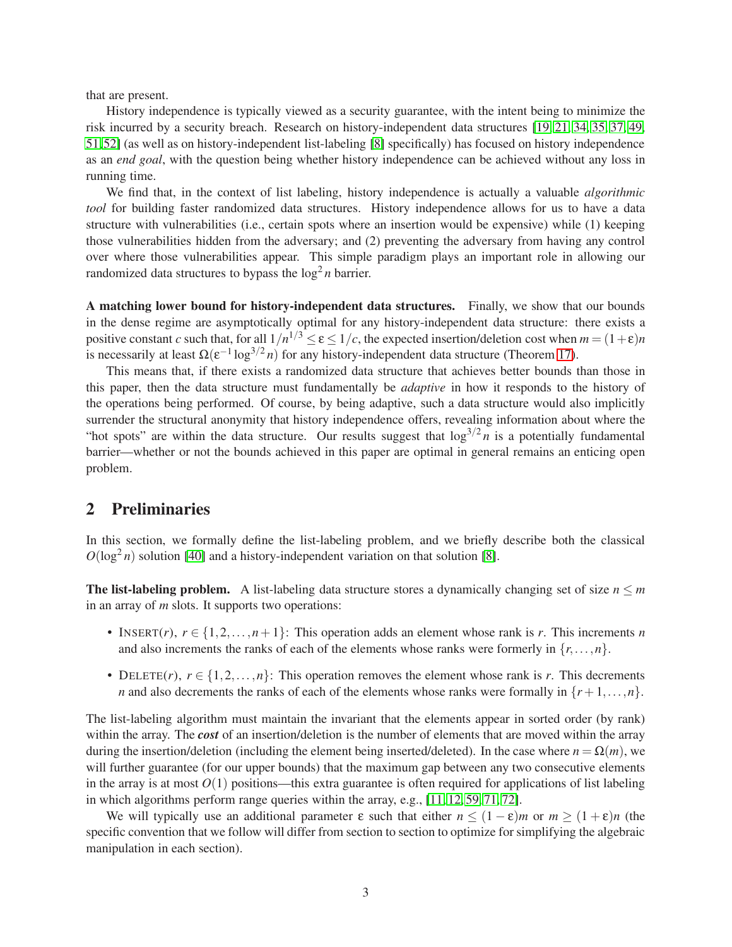that are present.

History independence is typically viewed as a security guarantee, with the intent being to minimize the risk incurred by a security breach. Research on history-independent data structures [\[19,](#page-26-11) [21,](#page-27-8) [34,](#page-27-9) [35,](#page-27-10) [37,](#page-28-9) [49,](#page-28-7) [51,](#page-28-10)[52\]](#page-28-8) (as well as on history-independent list-labeling [\[8\]](#page-26-5) specifically) has focused on history independence as an *end goal*, with the question being whether history independence can be achieved without any loss in running time.

We find that, in the context of list labeling, history independence is actually a valuable *algorithmic tool* for building faster randomized data structures. History independence allows for us to have a data structure with vulnerabilities (i.e., certain spots where an insertion would be expensive) while (1) keeping those vulnerabilities hidden from the adversary; and (2) preventing the adversary from having any control over where those vulnerabilities appear. This simple paradigm plays an important role in allowing our randomized data structures to bypass the  $\log^2 n$  barrier.

A matching lower bound for history-independent data structures. Finally, we show that our bounds in the dense regime are asymptotically optimal for any history-independent data structure: there exists a positive constant *c* such that, for all  $1/n^{1/3} \le \varepsilon \le 1/c$ , the expected insertion/deletion cost when  $m = (1+\varepsilon)n$ is necessarily at least  $\Omega(\varepsilon^{-1} \log^{3/2} n)$  for any history-independent data structure (Theorem [17\)](#page-14-0).

This means that, if there exists a randomized data structure that achieves better bounds than those in this paper, then the data structure must fundamentally be *adaptive* in how it responds to the history of the operations being performed. Of course, by being adaptive, such a data structure would also implicitly surrender the structural anonymity that history independence offers, revealing information about where the "hot spots" are within the data structure. Our results suggest that  $\log^{3/2} n$  is a potentially fundamental barrier—whether or not the bounds achieved in this paper are optimal in general remains an enticing open problem.

# 2 Preliminaries

In this section, we formally define the list-labeling problem, and we briefly describe both the classical  $O(\log^2 n)$  solution [\[40\]](#page-28-4) and a history-independent variation on that solution [\[8\]](#page-26-5).

The list-labeling problem. A list-labeling data structure stores a dynamically changing set of size  $n \le m$ in an array of *m* slots. It supports two operations:

- INSERT(*r*),  $r \in \{1, 2, ..., n+1\}$ : This operation adds an element whose rank is *r*. This increments *n* and also increments the ranks of each of the elements whose ranks were formerly in  $\{r, \ldots, n\}$ .
- DELETE(*r*),  $r \in \{1, 2, ..., n\}$ : This operation removes the element whose rank is *r*. This decrements *n* and also decrements the ranks of each of the elements whose ranks were formally in  $\{r+1,\ldots,n\}$ .

The list-labeling algorithm must maintain the invariant that the elements appear in sorted order (by rank) within the array. The *cost* of an insertion/deletion is the number of elements that are moved within the array during the insertion/deletion (including the element being inserted/deleted). In the case where  $n = \Omega(m)$ , we will further guarantee (for our upper bounds) that the maximum gap between any two consecutive elements in the array is at most  $O(1)$  positions—this extra guarantee is often required for applications of list labeling in which algorithms perform range queries within the array, e.g., [\[11,](#page-26-2) [12,](#page-26-12) [59,](#page-29-2) [71,](#page-30-6) [72\]](#page-30-5).

We will typically use an additional parameter  $\varepsilon$  such that either  $n \le (1 - \varepsilon)m$  or  $m \ge (1 + \varepsilon)n$  (the specific convention that we follow will differ from section to section to optimize for simplifying the algebraic manipulation in each section).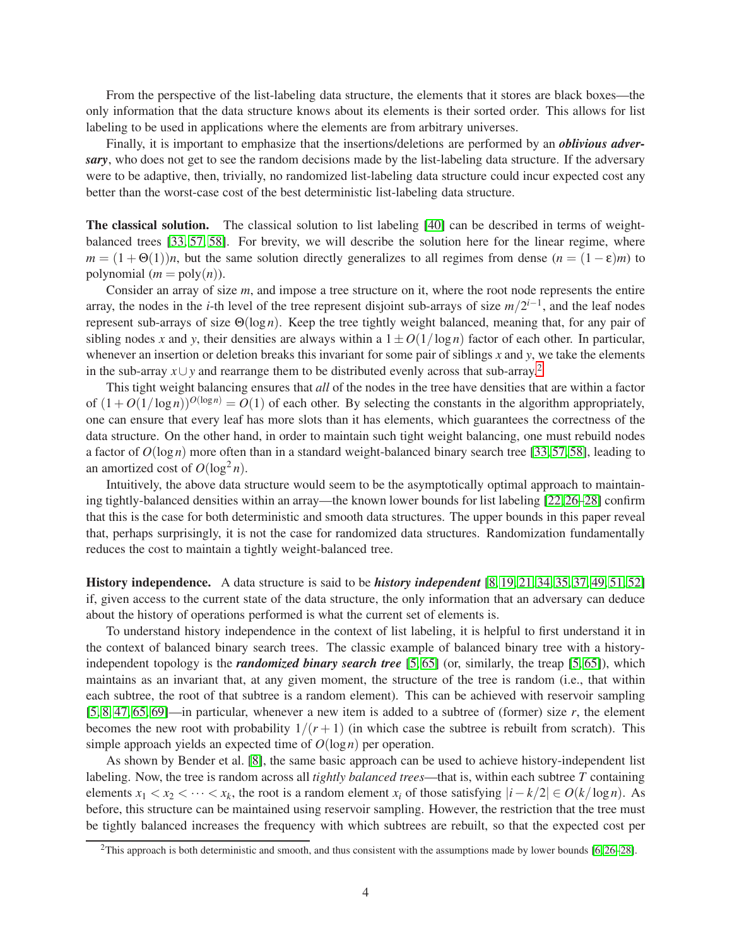From the perspective of the list-labeling data structure, the elements that it stores are black boxes—the only information that the data structure knows about its elements is their sorted order. This allows for list labeling to be used in applications where the elements are from arbitrary universes.

Finally, it is important to emphasize that the insertions/deletions are performed by an *oblivious adversary*, who does not get to see the random decisions made by the list-labeling data structure. If the adversary were to be adaptive, then, trivially, no randomized list-labeling data structure could incur expected cost any better than the worst-case cost of the best deterministic list-labeling data structure.

The classical solution. The classical solution to list labeling [\[40\]](#page-28-4) can be described in terms of weightbalanced trees [\[33,](#page-27-0) [57,](#page-29-3) [58\]](#page-29-4). For brevity, we will describe the solution here for the linear regime, where  $m = (1 + \Theta(1))n$ , but the same solution directly generalizes to all regimes from dense  $(n = (1 - \epsilon)m)$  to polynomial  $(m = poly(n))$ .

Consider an array of size *m*, and impose a tree structure on it, where the root node represents the entire array, the nodes in the *i*-th level of the tree represent disjoint sub-arrays of size  $m/2^{i-1}$ , and the leaf nodes represent sub-arrays of size Θ(log *n*). Keep the tree tightly weight balanced, meaning that, for any pair of sibling nodes x and y, their densities are always within a  $1 \pm O(1/\log n)$  factor of each other. In particular, whenever an insertion or deletion breaks this invariant for some pair of siblings *x* and *y*, we take the elements in the sub-array *<sup>x</sup>*∪*<sup>y</sup>* and rearrange them to be distributed evenly across that sub-array.[2](#page-3-0)

This tight weight balancing ensures that *all* of the nodes in the tree have densities that are within a factor of  $(1+O(1/\log n))^{O(\log n)} = O(1)$  of each other. By selecting the constants in the algorithm appropriately, one can ensure that every leaf has more slots than it has elements, which guarantees the correctness of the data structure. On the other hand, in order to maintain such tight weight balancing, one must rebuild nodes a factor of  $O(\log n)$  more often than in a standard weight-balanced binary search tree [\[33,](#page-27-0) [57,](#page-29-3) [58\]](#page-29-4), leading to an amortized cost of  $O(\log^2 n)$ .

Intuitively, the above data structure would seem to be the asymptotically optimal approach to maintaining tightly-balanced densities within an array—the known lower bounds for list labeling [\[22,](#page-27-1)[26–](#page-27-2)[28\]](#page-27-3) confirm that this is the case for both deterministic and smooth data structures. The upper bounds in this paper reveal that, perhaps surprisingly, it is not the case for randomized data structures. Randomization fundamentally reduces the cost to maintain a tightly weight-balanced tree.

History independence. A data structure is said to be *history independent* [\[8,](#page-26-5) [19,](#page-26-11) [21,](#page-27-8) [34,](#page-27-9) [35,](#page-27-10) [37,](#page-28-9) [49,](#page-28-7) [51,](#page-28-10) [52\]](#page-28-8) if, given access to the current state of the data structure, the only information that an adversary can deduce about the history of operations performed is what the current set of elements is.

To understand history independence in the context of list labeling, it is helpful to first understand it in the context of balanced binary search trees. The classic example of balanced binary tree with a historyindependent topology is the *randomized binary search tree* [\[5,](#page-25-2) [65\]](#page-29-5) (or, similarly, the treap [\[5,](#page-25-2) [65\]](#page-29-5)), which maintains as an invariant that, at any given moment, the structure of the tree is random (i.e., that within each subtree, the root of that subtree is a random element). This can be achieved with reservoir sampling [\[5,](#page-25-2) [8,](#page-26-5) [47,](#page-28-11) [65,](#page-29-5) [69\]](#page-29-6)—in particular, whenever a new item is added to a subtree of (former) size *r*, the element becomes the new root with probability  $1/(r+1)$  (in which case the subtree is rebuilt from scratch). This simple approach yields an expected time of *O*(log*n*) per operation.

As shown by Bender et al. [\[8\]](#page-26-5), the same basic approach can be used to achieve history-independent list labeling. Now, the tree is random across all *tightly balanced trees*—that is, within each subtree *T* containing elements  $x_1 < x_2 < \cdots < x_k$ , the root is a random element  $x_i$  of those satisfying  $|i - k/2| \in O(k/\log n)$ . As before, this structure can be maintained using reservoir sampling. However, the restriction that the tree must be tightly balanced increases the frequency with which subtrees are rebuilt, so that the expected cost per

<span id="page-3-0"></span><sup>&</sup>lt;sup>2</sup>This approach is both deterministic and smooth, and thus consistent with the assumptions made by lower bounds  $[6, 26-28]$  $[6, 26-28]$ .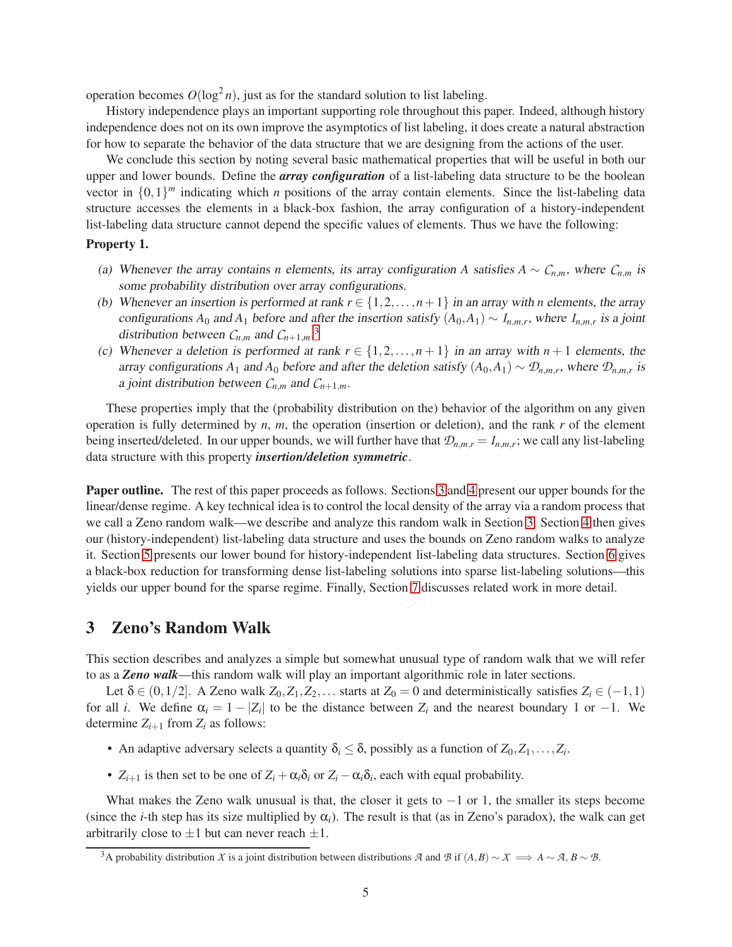operation becomes  $O(\log^2 n)$ , just as for the standard solution to list labeling.

History independence plays an important supporting role throughout this paper. Indeed, although history independence does not on its own improve the asymptotics of list labeling, it does create a natural abstraction for how to separate the behavior of the data structure that we are designing from the actions of the user.

We conclude this section by noting several basic mathematical properties that will be useful in both our upper and lower bounds. Define the *array configuration* of a list-labeling data structure to be the boolean vector in  $\{0,1\}^m$  indicating which *n* positions of the array contain elements. Since the list-labeling data structure accesses the elements in a black-box fashion, the array configuration of a history-independent list-labeling data structure cannot depend the specific values of elements. Thus we have the following:

#### Property 1.

- (a) Whenever the array contains *n* elements, its array configuration *A* satisfies  $A \sim C_{n,m}$ , where  $C_{n,m}$  is some probability distribution over array configurations.
- (b) Whenever an insertion is performed at rank  $r \in \{1, 2, \ldots, n+1\}$  in an array with *n* elements, the array configurations  $A_0$  and  $A_1$  before and after the insertion satisfy  $(A_0, A_1) \sim I_{n,m,r}$ , where  $I_{n,m,r}$  is a joint distribution between  $C_{n,m}$  and  $C_{n+1,m}$ <sup>[3](#page-4-0)</sup>
- (c) Whenever a deletion is performed at rank  $r \in \{1, 2, ..., n+1\}$  in an array with  $n+1$  elements, the array configurations  $A_1$  and  $A_0$  before and after the deletion satisfy  $(A_0, A_1) \sim \mathcal{D}_{n,m,r}$ , where  $\mathcal{D}_{n,m,r}$  is a joint distribution between  $C_{n,m}$  and  $C_{n+1,m}$ .

These properties imply that the (probability distribution on the) behavior of the algorithm on any given operation is fully determined by *n*, *m*, the operation (insertion or deletion), and the rank *r* of the element being inserted/deleted. In our upper bounds, we will further have that  $\mathcal{D}_{n,m,r} = I_{n,m,r}$ ; we call any list-labeling data structure with this property *insertion/deletion symmetric*.

Paper outline. The rest of this paper proceeds as follows. Sections [3](#page-4-1) and [4](#page-7-0) present our upper bounds for the linear/dense regime. A key technical idea is to control the local density of the array via a random process that we call a Zeno random walk—we describe and analyze this random walk in Section [3.](#page-4-1) Section [4](#page-7-0) then gives our (history-independent) list-labeling data structure and uses the bounds on Zeno random walks to analyze it. Section [5](#page-14-1) presents our lower bound for history-independent list-labeling data structures. Section [6](#page-20-0) gives a black-box reduction for transforming dense list-labeling solutions into sparse list-labeling solutions—this yields our upper bound for the sparse regime. Finally, Section [7](#page-23-0) discusses related work in more detail.

### <span id="page-4-1"></span>3 Zeno's Random Walk

This section describes and analyzes a simple but somewhat unusual type of random walk that we will refer to as a *Zeno walk*—this random walk will play an important algorithmic role in later sections.

Let  $\delta \in (0,1/2]$ . A Zeno walk  $Z_0, Z_1, Z_2, \ldots$  starts at  $Z_0 = 0$  and deterministically satisfies  $Z_i \in (-1,1)$ for all *i*. We define  $\alpha_i = 1 - |Z_i|$  to be the distance between  $Z_i$  and the nearest boundary 1 or -1. We determine  $Z_{i+1}$  from  $Z_i$  as follows:

- An adaptive adversary selects a quantity  $\delta_i \leq \delta$ , possibly as a function of  $Z_0, Z_1, \ldots, Z_i$ .
- $Z_{i+1}$  is then set to be one of  $Z_i + \alpha_i \delta_i$  or  $Z_i \alpha_i \delta_i$ , each with equal probability.

What makes the Zeno walk unusual is that, the closer it gets to  $-1$  or 1, the smaller its steps become (since the *i*-th step has its size multiplied by  $\alpha_i$ ). The result is that (as in Zeno's paradox), the walk can get arbitrarily close to  $\pm 1$  but can never reach  $\pm 1$ .

<span id="page-4-0"></span><sup>&</sup>lt;sup>3</sup>A probability distribution *X* is a joint distribution between distributions *A* and *B* if  $(A, B) \sim X \implies A \sim A, B \sim B$ .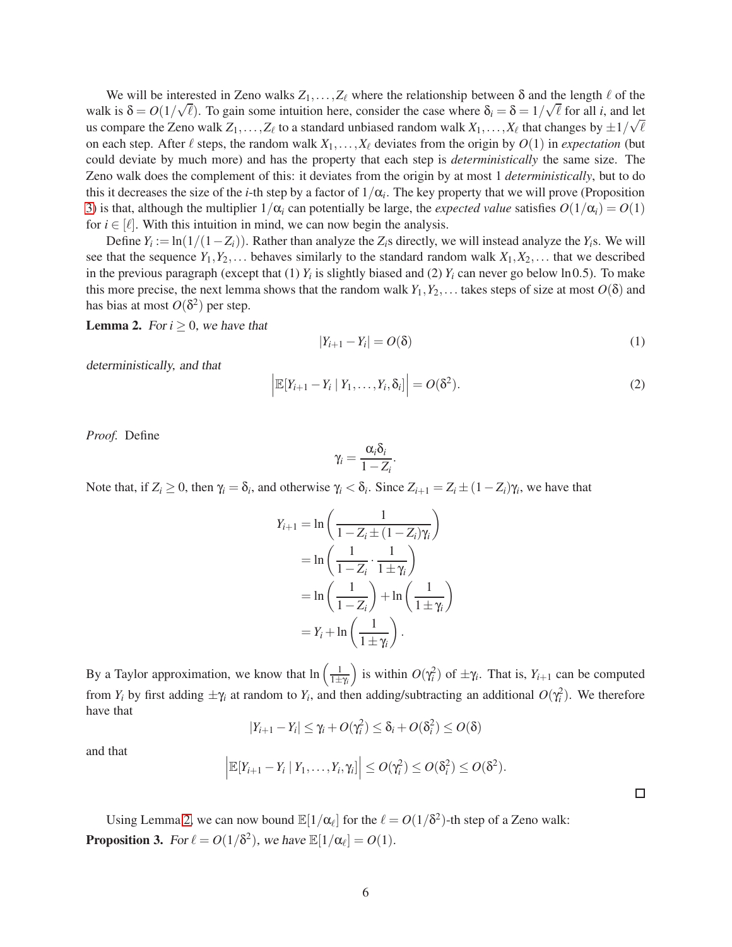We will be interested in Zeno walks  $Z_1, \ldots, Z_\ell$  where the relationship between  $\delta$  and the length  $\ell$  of the walk is  $\delta = O(1/\sqrt{\ell})$ . To gain some intuition here, consider the case where  $\delta_i = \delta = 1/\sqrt{\ell}$  for all *i*, and let us compare the Zeno walk  $Z_1, \ldots, Z_\ell$  to a standard unbiased random walk  $X_1, \ldots, X_\ell$  that changes by  $\pm 1/\sqrt{\ell}$ on each step. After  $\ell$  steps, the random walk  $X_1, \ldots, X_\ell$  deviates from the origin by  $O(1)$  in *expectation* (but could deviate by much more) and has the property that each step is *deterministically* the same size. The Zeno walk does the complement of this: it deviates from the origin by at most 1 *deterministically*, but to do this it decreases the size of the *i*-th step by a factor of  $1/\alpha_i$ . The key property that we will prove (Proposition [3\)](#page-5-0) is that, although the multiplier  $1/\alpha_i$  can potentially be large, the *expected value* satisfies  $O(1/\alpha_i) = O(1)$ for  $i \in [\ell]$ . With this intuition in mind, we can now begin the analysis.

Define  $Y_i := \ln(1/(1 - Z_i))$ . Rather than analyze the  $Z_i$ s directly, we will instead analyze the  $Y_i$ s. We will see that the sequence  $Y_1, Y_2, \ldots$  behaves similarly to the standard random walk  $X_1, X_2, \ldots$  that we described in the previous paragraph (except that  $(1)$   $Y_i$  is slightly biased and  $(2)$   $Y_i$  can never go below ln 0.5). To make this more precise, the next lemma shows that the random walk  $Y_1, Y_2, \ldots$  takes steps of size at most  $O(\delta)$  and has bias at most  $O(\delta^2)$  per step.

**Lemma 2.** For  $i \geq 0$ , we have that

<span id="page-5-2"></span>
$$
|Y_{i+1} - Y_i| = O(\delta)
$$
\n<sup>(1)</sup>

deterministically, and that

<span id="page-5-1"></span>
$$
\left| \mathbb{E}[Y_{i+1} - Y_i \mid Y_1, \dots, Y_i, \delta_i] \right| = O(\delta^2).
$$
 (2)

*Proof.* Define

$$
\gamma_i = \frac{\alpha_i \delta_i}{1 - Z_i}
$$

.

Note that, if  $Z_i \geq 0$ , then  $\gamma_i = \delta_i$ , and otherwise  $\gamma_i < \delta_i$ . Since  $Z_{i+1} = Z_i \pm (1 - Z_i)\gamma_i$ , we have that

$$
Y_{i+1} = \ln\left(\frac{1}{1 - Z_i \pm (1 - Z_i)\gamma_i}\right)
$$
  
= 
$$
\ln\left(\frac{1}{1 - Z_i} \cdot \frac{1}{1 \pm \gamma_i}\right)
$$
  
= 
$$
\ln\left(\frac{1}{1 - Z_i}\right) + \ln\left(\frac{1}{1 \pm \gamma_i}\right)
$$
  
= 
$$
Y_i + \ln\left(\frac{1}{1 \pm \gamma_i}\right).
$$

By a Taylor approximation, we know that  $\ln\left(\frac{1}{1+\gamma_i}\right)$ ) is within  $O(\gamma_i^2)$  of  $\pm \gamma_i$ . That is,  $Y_{i+1}$  can be computed from  $Y_i$  by first adding  $\pm \gamma_i$  at random to  $Y_i$ , and then adding/subtracting an additional  $O(\gamma_i^2)$ . We therefore have that

$$
|Y_{i+1}-Y_i|\leq \gamma_i+O(\gamma_i^2)\leq \delta_i+O(\delta_i^2)\leq O(\delta)
$$

and that

$$
\left|\mathbb{E}[Y_{i+1}-Y_i \mid Y_1,\ldots,Y_i,\gamma_i]\right| \leq O(\gamma_i^2) \leq O(\delta_i^2) \leq O(\delta^2).
$$

<span id="page-5-0"></span>Using Lemma [2,](#page-5-1) we can now bound  $\mathbb{E}[1/\alpha_{\ell}]$  for the  $\ell = O(1/\delta^2)$ -th step of a Zeno walk: **Proposition 3.** For  $\ell = O(1/\delta^2)$ , we have  $\mathbb{E}[1/\alpha_{\ell}] = O(1)$ .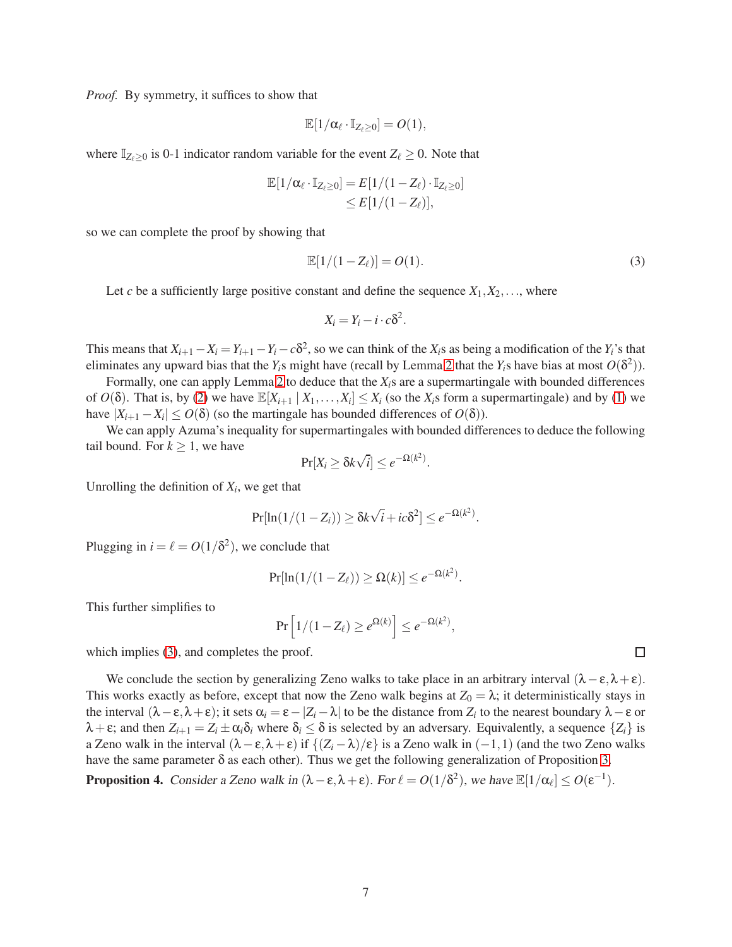*Proof.* By symmetry, it suffices to show that

$$
\mathbb{E}[1/\alpha_\ell\cdot\mathbb{I}_{Z_\ell\geq 0}]=\textit{O}(1),
$$

where  $\mathbb{I}_{Z_{\ell}>0}$  is 0-1 indicator random variable for the event  $Z_{\ell}\geq 0$ . Note that

$$
\mathbb{E}[1/\alpha_{\ell} \cdot \mathbb{I}_{Z_{\ell}\geq 0}] = E[1/(1-Z_{\ell}) \cdot \mathbb{I}_{Z_{\ell}\geq 0}]
$$
  
\n
$$
\leq E[1/(1-Z_{\ell})],
$$

so we can complete the proof by showing that

<span id="page-6-0"></span>
$$
\mathbb{E}[1/(1-Z_{\ell})]=O(1). \tag{3}
$$

Let *c* be a sufficiently large positive constant and define the sequence  $X_1, X_2, \ldots$ , where

$$
X_i = Y_i - i \cdot c \delta^2.
$$

This means that  $X_{i+1}-X_i=Y_{i+1}-Y_i-c\delta^2$ , so we can think of the  $X_i$ s as being a modification of the  $Y_i$ 's that eliminates any upward bias that the  $Y_i$ s might have (recall by Lemma [2](#page-5-1) that the  $Y_i$ s have bias at most  $O(\delta^2)$ ).

Formally, one can apply Lemma [2](#page-5-1) to deduce that the *Xi*s are a supermartingale with bounded differences of  $O(\delta)$ . That is, by [\(2\)](#page-5-1) we have  $\mathbb{E}[X_{i+1} | X_1, \ldots, X_i] \leq X_i$  (so the  $X_i$ s form a supermartingale) and by [\(1\)](#page-5-2) we have  $|X_{i+1} - X_i| \leq O(\delta)$  (so the martingale has bounded differences of  $O(\delta)$ ).

We can apply Azuma's inequality for supermartingales with bounded differences to deduce the following tail bound. For  $k \geq 1$ , we have

$$
\Pr[X_i \ge \delta k \sqrt{i}] \le e^{-\Omega(k^2)}.
$$

Unrolling the definition of  $X_i$ , we get that

$$
\Pr[\ln(1/(1-Z_i)) \ge \delta k \sqrt{i} + ic\delta^2] \le e^{-\Omega(k^2)}.
$$

Plugging in  $i = \ell = O(1/\delta^2)$ , we conclude that

$$
\Pr[\ln(1/(1-Z_\ell)) \geq \Omega(k)] \leq e^{-\Omega(k^2)}.
$$

This further simplifies to

$$
\Pr\left[1/(1-Z_\ell)\geq e^{\Omega(k)}\right]\leq e^{-\Omega(k^2)},
$$

which implies [\(3\)](#page-6-0), and completes the proof.

We conclude the section by generalizing Zeno walks to take place in an arbitrary interval  $(\lambda - \varepsilon, \lambda + \varepsilon)$ . This works exactly as before, except that now the Zeno walk begins at  $Z_0 = \lambda$ ; it deterministically stays in the interval  $(\lambda - \varepsilon, \lambda + \varepsilon)$ ; it sets  $\alpha_i = \varepsilon - |Z_i - \lambda|$  to be the distance from  $Z_i$  to the nearest boundary  $\lambda - \varepsilon$  or  $λ + ε$ ; and then  $Z_{i+1} = Z_i \pm α_i δ_i$  where  $δ_i ≤ δ$  is selected by an adversary. Equivalently, a sequence  $\{Z_i\}$  is a Zeno walk in the interval  $(\lambda - \varepsilon, \lambda + \varepsilon)$  if  $\{(Z_i - \lambda)/\varepsilon\}$  is a Zeno walk in  $(-1,1)$  (and the two Zeno walks have the same parameter  $\delta$  as each other). Thus we get the following generalization of Proposition [3.](#page-5-0)

<span id="page-6-1"></span>**Proposition 4.** Consider a Zeno walk in  $(\lambda - \varepsilon, \lambda + \varepsilon)$ . For  $\ell = O(1/\delta^2)$ , we have  $\mathbb{E}[1/\alpha_{\ell}] \leq O(\varepsilon^{-1})$ .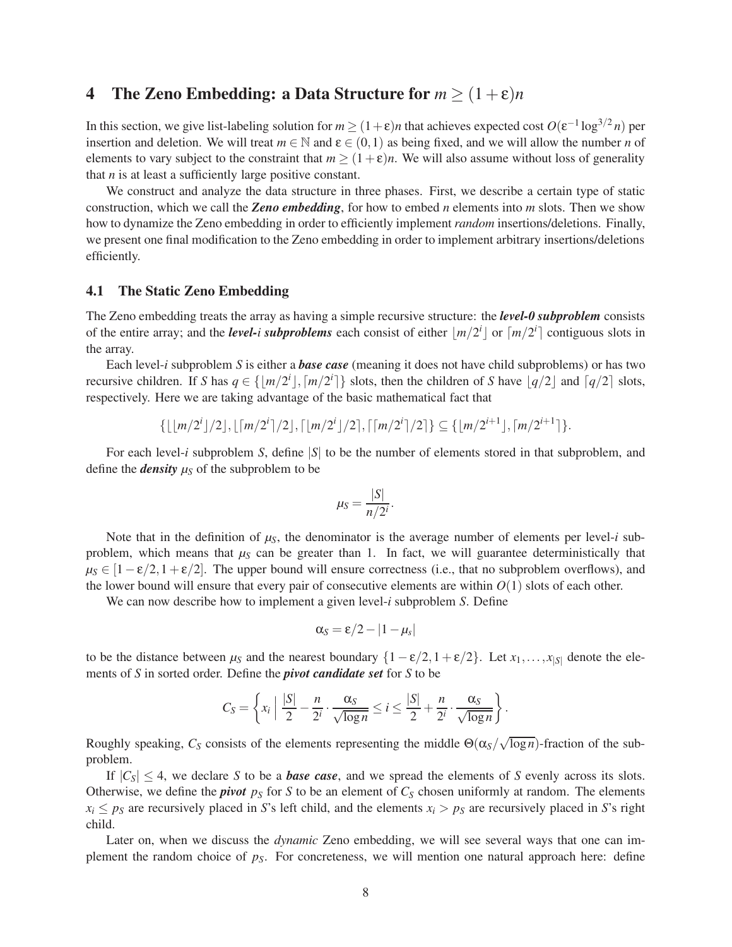# <span id="page-7-0"></span>4 The Zeno Embedding: a Data Structure for  $m \geq (1+\epsilon)n$

In this section, we give list-labeling solution for  $m \ge (1+\epsilon)n$  that achieves expected cost  $O(\epsilon^{-1} \log^{3/2} n)$  per insertion and deletion. We will treat  $m \in \mathbb{N}$  and  $\varepsilon \in (0,1)$  as being fixed, and we will allow the number *n* of elements to vary subject to the constraint that  $m \ge (1 + \varepsilon)n$ . We will also assume without loss of generality that *n* is at least a sufficiently large positive constant.

We construct and analyze the data structure in three phases. First, we describe a certain type of static construction, which we call the *Zeno embedding*, for how to embed *n* elements into *m* slots. Then we show how to dynamize the Zeno embedding in order to efficiently implement *random* insertions/deletions. Finally, we present one final modification to the Zeno embedding in order to implement arbitrary insertions/deletions efficiently.

#### 4.1 The Static Zeno Embedding

The Zeno embedding treats the array as having a simple recursive structure: the *level-0 subproblem* consists of the entire array; and the *level-i* subproblems each consist of either  $\lfloor m/2^i \rfloor$  or  $\lceil m/2^i \rceil$  contiguous slots in the array.

Each level-*i* subproblem *S* is either a *base case* (meaning it does not have child subproblems) or has two recursive children. If *S* has  $q \in \{\lfloor m/2^i \rfloor, \lceil m/2^i \rceil\}$  slots, then the children of *S* have  $\lfloor q/2 \rfloor$  and  $\lceil q/2 \rceil$  slots, respectively. Here we are taking advantage of the basic mathematical fact that

$$
\{\lfloor \lfloor m/2^i\rfloor/2\rfloor,\lfloor \lceil m/2^i\rceil/2\rfloor,\lceil \lfloor m/2^i\rfloor/2\rceil,\lceil \lceil m/2^i\rceil/2\rceil\}\subseteq \{\lfloor m/2^{i+1}\rfloor,\lceil m/2^{i+1}\rceil\}.
$$

For each level-*i* subproblem *S*, define |*S*| to be the number of elements stored in that subproblem, and define the *density*  $\mu_S$  of the subproblem to be

$$
\mu_S = \frac{|S|}{n/2^i}.
$$

Note that in the definition of  $\mu_S$ , the denominator is the average number of elements per level-*i* subproblem, which means that  $\mu<sub>S</sub>$  can be greater than 1. In fact, we will guarantee deterministically that  $\mu_S \in [1-\epsilon/2, 1+\epsilon/2]$ . The upper bound will ensure correctness (i.e., that no subproblem overflows), and the lower bound will ensure that every pair of consecutive elements are within  $O(1)$  slots of each other.

We can now describe how to implement a given level-*i* subproblem *S*. Define

$$
\alpha_S = \varepsilon/2 - |1 - \mu_s|
$$

to be the distance between  $\mu_S$  and the nearest boundary  $\{1 - \varepsilon/2, 1 + \varepsilon/2\}$ . Let  $x_1, \ldots, x_{|S|}$  denote the elements of *S* in sorted order. Define the *pivot candidate set* for *S* to be

$$
C_S = \left\{ x_i \mid \frac{|S|}{2} - \frac{n}{2^i} \cdot \frac{\alpha_S}{\sqrt{\log n}} \leq i \leq \frac{|S|}{2} + \frac{n}{2^i} \cdot \frac{\alpha_S}{\sqrt{\log n}} \right\}.
$$

Roughly speaking,  $C_S$  consists of the elements representing the middle  $\Theta(\alpha_S/\sqrt{\log n})$ -fraction of the subproblem.

If  $|C_S| \leq 4$ , we declare *S* to be a *base case*, and we spread the elements of *S* evenly across its slots. Otherwise, we define the *pivot*  $p_S$  for *S* to be an element of  $C_S$  chosen uniformly at random. The elements  $x_i \leq p_S$  are recursively placed in *S*'s left child, and the elements  $x_i > p_S$  are recursively placed in *S*'s right child.

Later on, when we discuss the *dynamic* Zeno embedding, we will see several ways that one can implement the random choice of *pS*. For concreteness, we will mention one natural approach here: define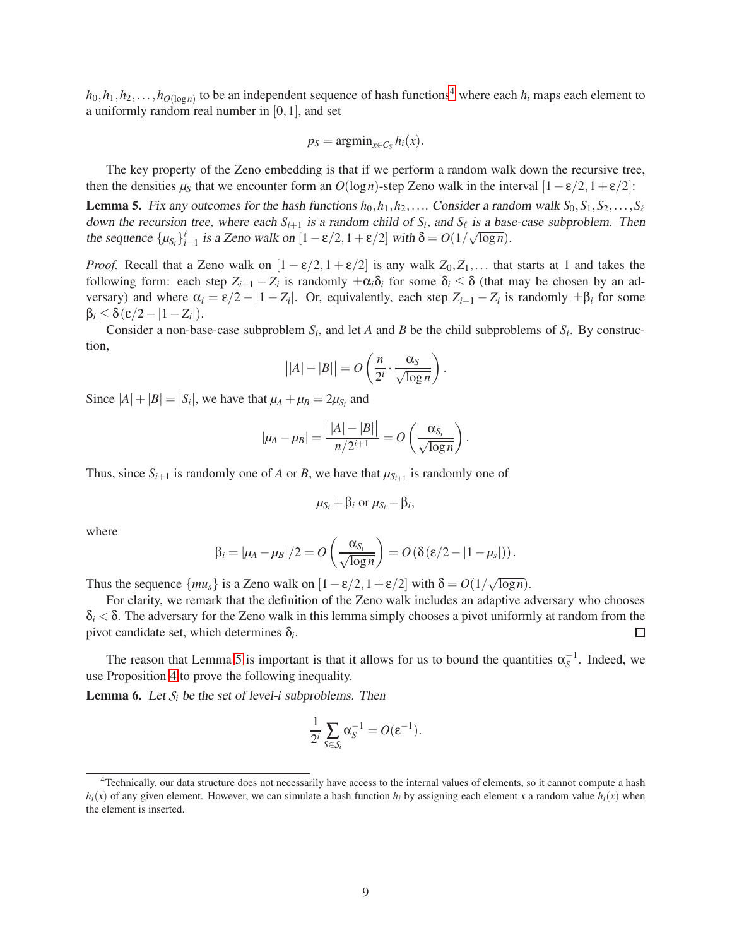$h_0, h_1, h_2, \ldots, h_{O(\log n)}$  to be an independent sequence of hash functions<sup>[4](#page-8-0)</sup> where each  $h_i$  maps each element to a uniformly random real number in [0,1], and set

$$
p_S = \operatorname{argmin}_{x \in C_S} h_i(x).
$$

The key property of the Zeno embedding is that if we perform a random walk down the recursive tree, then the densities  $\mu_S$  that we encounter form an  $O(\log n)$ -step Zeno walk in the interval  $[1 - \varepsilon/2, 1 + \varepsilon/2]$ :

<span id="page-8-1"></span>**Lemma 5.** Fix any outcomes for the hash functions  $h_0, h_1, h_2, \ldots$  Consider a random walk  $S_0, S_1, S_2, \ldots, S_\ell$ down the recursion tree, where each  $S_{i+1}$  is a random child of  $S_i$ , and  $S_\ell$  is a base-case subproblem. Then the sequence  $\{\mu_{S_i}\}_{i=1}^{\ell}$  is a Zeno walk on  $[1 - \varepsilon/2, 1 + \varepsilon/2]$  with  $\delta = O(1/\sqrt{\log n})$ .

*Proof.* Recall that a Zeno walk on  $[1 - \varepsilon/2, 1 + \varepsilon/2]$  is any walk  $Z_0, Z_1, \ldots$  that starts at 1 and takes the following form: each step  $Z_{i+1} - Z_i$  is randomly  $\pm \alpha_i \delta_i$  for some  $\delta_i \leq \delta$  (that may be chosen by an adversary) and where  $\alpha_i = \varepsilon/2 - |1 - Z_i|$ . Or, equivalently, each step  $Z_{i+1} - Z_i$  is randomly  $\pm \beta_i$  for some  $\beta_i \leq \delta(\varepsilon/2 - |1-Z_i|).$ 

Consider a non-base-case subproblem  $S_i$ , and let *A* and *B* be the child subproblems of  $S_i$ . By construction,

$$
||A|-|B|| = O\left(\frac{n}{2^i}\cdot\frac{\alpha_S}{\sqrt{\log n}}\right).
$$

Since  $|A| + |B| = |S_i|$ , we have that  $\mu_A + \mu_B = 2\mu_{S_i}$  and

$$
|\mu_A-\mu_B|=\frac{\big||A|-|B|\big|}{n/2^{i+1}}=O\left(\frac{\alpha_{S_i}}{\sqrt{\log n}}\right).
$$

Thus, since  $S_{i+1}$  is randomly one of *A* or *B*, we have that  $\mu_{S_{i+1}}$  is randomly one of

$$
\mu_{S_i} + \beta_i
$$
 or  $\mu_{S_i} - \beta_i$ ,

where

$$
\beta_i = |\mu_A - \mu_B|/2 = O\left(\frac{\alpha_{S_i}}{\sqrt{\log n}}\right) = O\left(\delta\left(\epsilon/2 - |1 - \mu_s|\right)\right).
$$

Thus the sequence  $\{mu_s\}$  is a Zeno walk on  $[1 - \varepsilon/2, 1 + \varepsilon/2]$  with  $\delta = O(1/\sqrt{\log n})$ .

For clarity, we remark that the definition of the Zeno walk includes an adaptive adversary who chooses  $\delta_i < \delta$ . The adversary for the Zeno walk in this lemma simply chooses a pivot uniformly at random from the pivot candidate set, which determines δ*<sup>i</sup>* .  $\Box$ 

The reason that Lemma [5](#page-8-1) is important is that it allows for us to bound the quantities  $\alpha_S^{-1}$ . Indeed, we use Proposition [4](#page-6-1) to prove the following inequality.

<span id="page-8-2"></span>**Lemma 6.** Let  $S_i$  be the set of level-*i* subproblems. Then

$$
\frac{1}{2^i}\sum_{S\in\mathcal{S}_i}\alpha_S^{-1}=O(\epsilon^{-1}).
$$

<span id="page-8-0"></span><sup>&</sup>lt;sup>4</sup>Technically, our data structure does not necessarily have access to the internal values of elements, so it cannot compute a hash  $h_i(x)$  of any given element. However, we can simulate a hash function  $h_i$  by assigning each element *x* a random value  $h_i(x)$  when the element is inserted.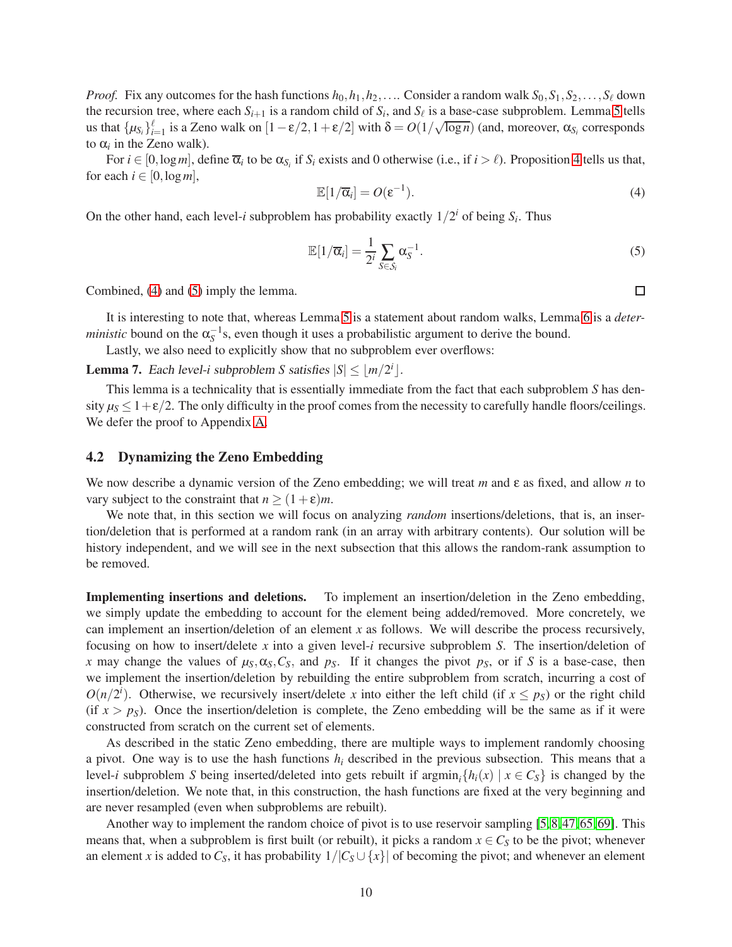*Proof.* Fix any outcomes for the hash functions  $h_0, h_1, h_2, \ldots$  Consider a random walk  $S_0, S_1, S_2, \ldots, S_\ell$  down the recursion tree, where each  $S_{i+1}$  is a random child of  $S_i$ , and  $S_\ell$  is a base-case subproblem. Lemma [5](#page-8-1) tells us that  $\{\mu_{S_i}\}_{i=1}^{\ell}$  is a Zeno walk on  $[1 - \varepsilon/2, 1 + \varepsilon/2]$  with  $\delta = O(1/\sqrt{\log n})$  (and, moreover,  $\alpha_{S_i}$  corresponds to  $\alpha_i$  in the Zeno walk).

For  $i \in [0, \log m]$ , define  $\overline{\alpha}_i$  to be  $\alpha_{S_i}$  if  $S_i$  exists and 0 otherwise (i.e., if  $i > \ell$ ). Proposition [4](#page-6-1) tells us that, for each  $i \in [0, \log m]$ ,

<span id="page-9-0"></span>
$$
\mathbb{E}[1/\overline{\alpha}_i] = O(\varepsilon^{-1}).\tag{4}
$$

On the other hand, each level-*i* subproblem has probability exactly  $1/2^i$  of being  $S_i$ . Thus

<span id="page-9-1"></span>
$$
\mathbb{E}[1/\overline{\alpha}_i] = \frac{1}{2^i} \sum_{S \in \mathcal{S}_i} \alpha_S^{-1}.
$$
\n(5)

Combined, [\(4\)](#page-9-0) and [\(5\)](#page-9-1) imply the lemma.

It is interesting to note that, whereas Lemma [5](#page-8-1) is a statement about random walks, Lemma [6](#page-8-2) is a *deterministic* bound on the  $\alpha_S^{-1}$ s, even though it uses a probabilistic argument to derive the bound.

Lastly, we also need to explicitly show that no subproblem ever overflows:

<span id="page-9-2"></span>**Lemma 7.** Each level-*i* subproblem *S* satisfies  $|S| \leq \lfloor m/2^i \rfloor$ .

This lemma is a technicality that is essentially immediate from the fact that each subproblem *S* has density  $\mu_S \leq 1 + \varepsilon/2$ . The only difficulty in the proof comes from the necessity to carefully handle floors/ceilings. We defer the proof to Appendix [A.](#page-30-7)

#### 4.2 Dynamizing the Zeno Embedding

We now describe a dynamic version of the Zeno embedding; we will treat *m* and ε as fixed, and allow *n* to vary subject to the constraint that  $n \ge (1+\varepsilon)m$ .

We note that, in this section we will focus on analyzing *random* insertions/deletions, that is, an insertion/deletion that is performed at a random rank (in an array with arbitrary contents). Our solution will be history independent, and we will see in the next subsection that this allows the random-rank assumption to be removed.

Implementing insertions and deletions. To implement an insertion/deletion in the Zeno embedding, we simply update the embedding to account for the element being added/removed. More concretely, we can implement an insertion/deletion of an element *x* as follows. We will describe the process recursively, focusing on how to insert/delete *x* into a given level-*i* recursive subproblem *S*. The insertion/deletion of *x* may change the values of  $\mu_S, \alpha_S, C_S$ , and  $p_S$ . If it changes the pivot  $p_S$ , or if *S* is a base-case, then we implement the insertion/deletion by rebuilding the entire subproblem from scratch, incurring a cost of  $O(n/2^i)$ . Otherwise, we recursively insert/delete *x* into either the left child (if  $x \le p_S$ ) or the right child (if  $x > p<sub>S</sub>$ ). Once the insertion/deletion is complete, the Zeno embedding will be the same as if it were constructed from scratch on the current set of elements.

As described in the static Zeno embedding, there are multiple ways to implement randomly choosing a pivot. One way is to use the hash functions  $h_i$  described in the previous subsection. This means that a level-*i* subproblem *S* being inserted/deleted into gets rebuilt if  $\argmin_i \{h_i(x) | x \in C_S\}$  is changed by the insertion/deletion. We note that, in this construction, the hash functions are fixed at the very beginning and are never resampled (even when subproblems are rebuilt).

Another way to implement the random choice of pivot is to use reservoir sampling [\[5,](#page-25-2) [8,](#page-26-5) [47,](#page-28-11) [65,](#page-29-5) [69\]](#page-29-6). This means that, when a subproblem is first built (or rebuilt), it picks a random  $x \in C<sub>S</sub>$  to be the pivot; whenever an element *x* is added to  $C_S$ , it has probability  $1/|C_S \cup \{x\}|$  of becoming the pivot; and whenever an element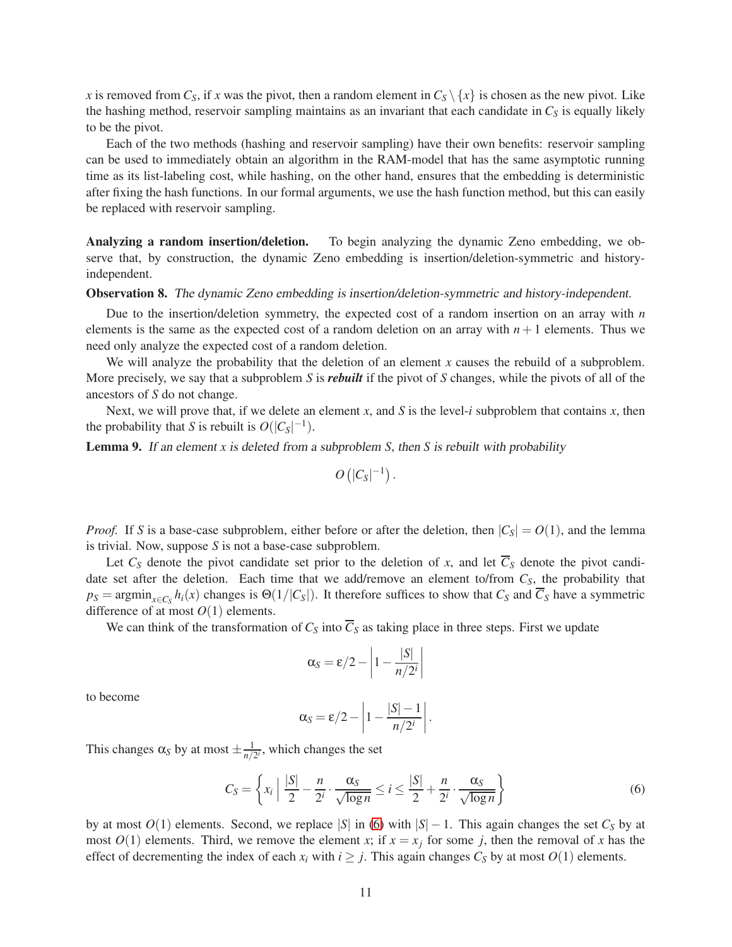*x* is removed from  $C_S$ , if *x* was the pivot, then a random element in  $C_S \setminus \{x\}$  is chosen as the new pivot. Like the hashing method, reservoir sampling maintains as an invariant that each candidate in *C<sup>S</sup>* is equally likely to be the pivot.

Each of the two methods (hashing and reservoir sampling) have their own benefits: reservoir sampling can be used to immediately obtain an algorithm in the RAM-model that has the same asymptotic running time as its list-labeling cost, while hashing, on the other hand, ensures that the embedding is deterministic after fixing the hash functions. In our formal arguments, we use the hash function method, but this can easily be replaced with reservoir sampling.

Analyzing a random insertion/deletion. To begin analyzing the dynamic Zeno embedding, we observe that, by construction, the dynamic Zeno embedding is insertion/deletion-symmetric and historyindependent.

#### Observation 8. The dynamic Zeno embedding is insertion/deletion-symmetric and history-independent.

Due to the insertion/deletion symmetry, the expected cost of a random insertion on an array with *n* elements is the same as the expected cost of a random deletion on an array with  $n+1$  elements. Thus we need only analyze the expected cost of a random deletion.

We will analyze the probability that the deletion of an element  $x$  causes the rebuild of a subproblem. More precisely, we say that a subproblem *S* is *rebuilt* if the pivot of *S* changes, while the pivots of all of the ancestors of *S* do not change.

Next, we will prove that, if we delete an element *x*, and *S* is the level-*i* subproblem that contains *x*, then the probability that *S* is rebuilt is  $O(|C_S|^{-1})$ .

<span id="page-10-1"></span>Lemma 9. If an element *x* is deleted from <sup>a</sup> subproblem *S*, then *S* is rebuilt with probability

$$
O\left(|C_S|^{-1}\right).
$$

*Proof.* If *S* is a base-case subproblem, either before or after the deletion, then  $|C_s| = O(1)$ , and the lemma is trivial. Now, suppose *S* is not a base-case subproblem.

Let  $C_S$  denote the pivot candidate set prior to the deletion of *x*, and let  $\overline{C}_S$  denote the pivot candidate set after the deletion. Each time that we add/remove an element to/from *CS*, the probability that  $p_S = \text{argmin}_{x \in C_S} h_i(x)$  changes is  $\Theta(1/|C_S|)$ . It therefore suffices to show that  $C_S$  and  $C_S$  have a symmetric difference of at most  $O(1)$  elements.

We can think of the transformation of  $C_S$  into  $\overline{C}_S$  as taking place in three steps. First we update

$$
\alpha_S = \varepsilon/2 - \left|1 - \frac{|S|}{n/2^i}\right|
$$

to become

$$
\alpha_S = \varepsilon/2 - \left|1 - \frac{|S| - 1}{n/2^i}\right|.
$$

This changes  $\alpha_S$  by at most  $\pm \frac{1}{n/2}$  $\frac{1}{n/2^i}$ , which changes the set

<span id="page-10-0"></span>
$$
C_S = \left\{ x_i \mid \frac{|S|}{2} - \frac{n}{2^i} \cdot \frac{\alpha_S}{\sqrt{\log n}} \le i \le \frac{|S|}{2} + \frac{n}{2^i} \cdot \frac{\alpha_S}{\sqrt{\log n}} \right\}
$$
(6)

by at most  $O(1)$  elements. Second, we replace |*S*| in [\(6\)](#page-10-0) with  $|S| - 1$ . This again changes the set  $C_S$  by at most  $O(1)$  elements. Third, we remove the element *x*; if  $x = x_j$  for some *j*, then the removal of *x* has the effect of decrementing the index of each  $x_i$  with  $i \geq j$ . This again changes  $C_S$  by at most  $O(1)$  elements.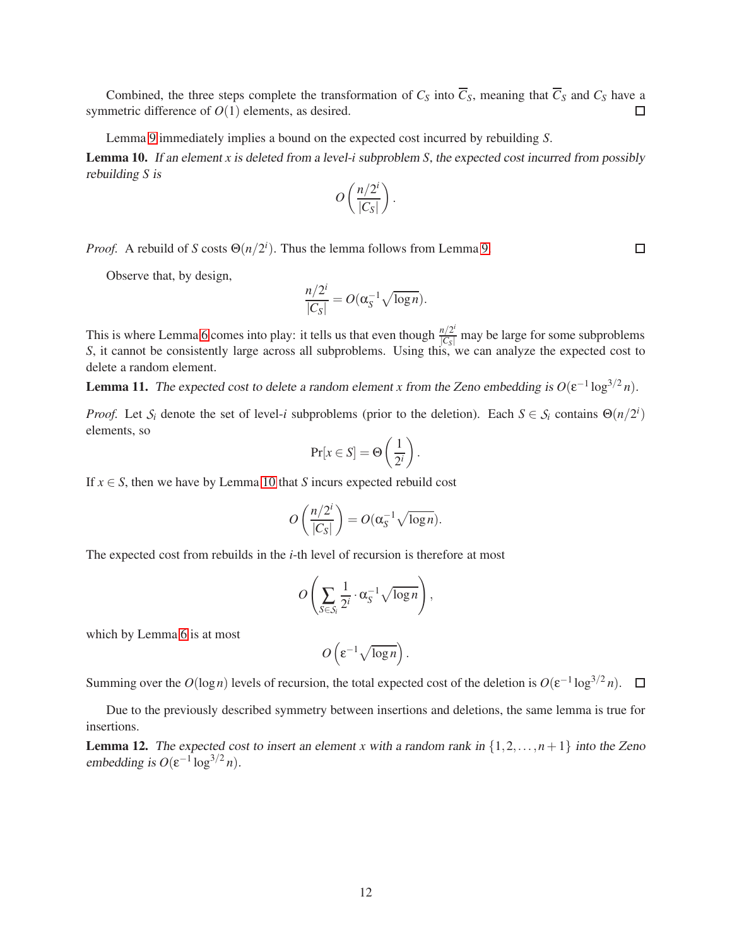Combined, the three steps complete the transformation of  $C_S$  into  $\overline{C}_S$ , meaning that  $\overline{C}_S$  and  $C_S$  have a symmetric difference of  $O(1)$  elements, as desired.  $\Box$ 

Lemma [9](#page-10-1) immediately implies a bound on the expected cost incurred by rebuilding *S*.

<span id="page-11-0"></span>Lemma 10. If an element *x* is deleted from <sup>a</sup> level-*i* subproblem *S*, the expected cost incurred from possibly rebuilding *S* is

$$
O\left(\frac{n/2^i}{|C_S|}\right).
$$

*Proof.* A rebuild of *S* costs  $\Theta(n/2^i)$ . Thus the lemma follows from Lemma [9.](#page-10-1)

Observe that, by design,

$$
\frac{n/2^i}{|C_S|} = O(\alpha_S^{-1} \sqrt{\log n}).
$$

This is where Lemma [6](#page-8-2) comes into play: it tells us that even though  $\frac{n/2^i}{|C_S|}$  may be large for some subproblems *S*, it cannot be consistently large across all subproblems. Using this, we can analyze the expected co delete a random element.

<span id="page-11-1"></span>**Lemma 11.** The expected cost to delete a random element *x* from the Zeno embedding is  $O(\epsilon^{-1} \log^{3/2} n)$ .

*Proof.* Let  $S_i$  denote the set of level-*i* subproblems (prior to the deletion). Each  $S \in S_i$  contains  $\Theta(n/2^i)$ elements, so

$$
\Pr[x \in S] = \Theta\left(\frac{1}{2^i}\right).
$$

If  $x \in S$ , then we have by Lemma [10](#page-11-0) that *S* incurs expected rebuild cost

$$
O\left(\frac{n/2^i}{|C_S|}\right) = O(\alpha_S^{-1}\sqrt{\log n}).
$$

The expected cost from rebuilds in the *i*-th level of recursion is therefore at most

$$
O\left(\sum_{S\in\mathcal{S}_i}\frac{1}{2^i}\cdot\alpha_S^{-1}\sqrt{\log n}\right),\,
$$

which by Lemma [6](#page-8-2) is at most

$$
O\left(\varepsilon^{-1}\sqrt{\log n}\right).
$$

Summing over the  $O(\log n)$  levels of recursion, the total expected cost of the deletion is  $O(\epsilon^{-1} \log^{3/2} n)$ .

Due to the previously described symmetry between insertions and deletions, the same lemma is true for insertions.

<span id="page-11-2"></span>**Lemma 12.** The expected cost to insert an element *x* with a random rank in  $\{1, 2, ..., n+1\}$  into the Zeno embedding is  $O(\varepsilon^{-1} \log^{3/2} n)$ .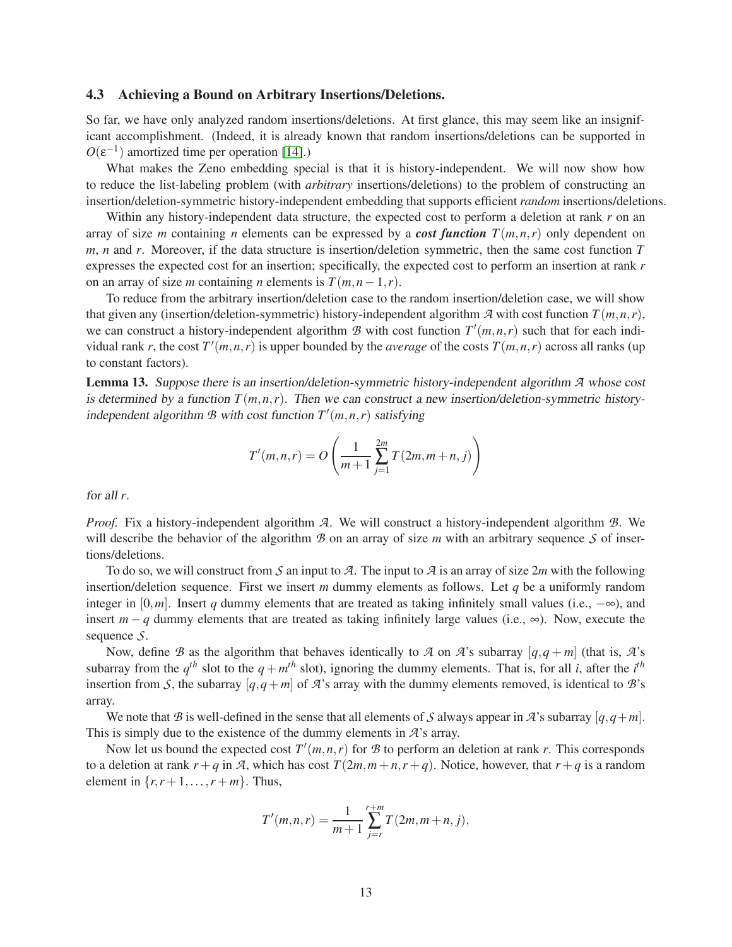#### 4.3 Achieving a Bound on Arbitrary Insertions/Deletions.

So far, we have only analyzed random insertions/deletions. At first glance, this may seem like an insignificant accomplishment. (Indeed, it is already known that random insertions/deletions can be supported in  $O(\varepsilon^{-1})$  amortized time per operation [14].)

What makes the Zeno embedding special is that it is history-independent. We will now show how to reduce the list-labeling problem (with *arbitrary* insertions/deletions) to the problem of constructing an insertion/deletion-symmetric history-independent embedding that supports efficient *random* insertions/deletions.

Within any history-independent data structure, the expected cost to perform a deletion at rank *r* on an array of size *m* containing *n* elements can be expressed by a *cost function*  $T(m, n, r)$  only dependent on *m*, *n* and *r*. Moreover, if the data structure is insertion/deletion symmetric, then the same cost function *T* expresses the expected cost for an insertion; specifically, the expected cost to perform an insertion at rank *r* on an array of size *m* containing *n* elements is  $T(m, n-1, r)$ .

To reduce from the arbitrary insertion/deletion case to the random insertion/deletion case, we will show that given any (insertion/deletion-symmetric) history-independent algorithm  $\mathcal{A}$  with cost function  $T(m,n,r)$ , we can construct a history-independent algorithm  $B$  with cost function  $T'(m, n, r)$  such that for each individual rank *r*, the cost  $T'(m,n,r)$  is upper bounded by the *average* of the costs  $T(m,n,r)$  across all ranks (up to constant factors).

<span id="page-12-0"></span>Lemma 13. Suppose there is an insertion/deletion-symmetric history-independent algorithm *A* whose cost is determined by a function  $T(m,n,r)$ . Then we can construct a new insertion/deletion-symmetric historyindependent algorithm  $B$  with cost function  $T'(m, n, r)$  satisfying

$$
T'(m, n, r) = O\left(\frac{1}{m+1} \sum_{j=1}^{2m} T(2m, m+n, j)\right)
$$

for all *r*.

*Proof.* Fix a history-independent algorithm *A*. We will construct a history-independent algorithm *B*. We will describe the behavior of the algorithm  $\mathcal B$  on an array of size  $m$  with an arbitrary sequence  $\mathcal S$  of insertions/deletions.

To do so, we will construct from *S* an input to *A*. The input to *A* is an array of size 2*m* with the following insertion/deletion sequence. First we insert *m* dummy elements as follows. Let *q* be a uniformly random integer in  $[0,m]$ . Insert *q* dummy elements that are treated as taking infinitely small values (i.e.,  $-\infty$ ), and insert  $m - q$  dummy elements that are treated as taking infinitely large values (i.e.,  $\infty$ ). Now, execute the sequence *S*.

Now, define *B* as the algorithm that behaves identically to *A* on *A*'s subarray  $[q, q + m]$  (that is, *A*'s subarray from the  $q^{th}$  slot to the  $q + m^{th}$  slot), ignoring the dummy elements. That is, for all *i*, after the *i*<sup>th</sup> insertion from *S*, the subarray  $[q, q+m]$  of *A*'s array with the dummy elements removed, is identical to *B*'s array.

We note that *B* is well-defined in the sense that all elements of *S* always appear in *A*'s subarray  $[q, q+m]$ . This is simply due to the existence of the dummy elements in *A*'s array.

Now let us bound the expected cost  $T'(m,n,r)$  for  $\mathcal B$  to perform an deletion at rank  $r$ . This corresponds to a deletion at rank  $r + q$  in *A*, which has cost  $T(2m, m+n, r+q)$ . Notice, however, that  $r + q$  is a random element in  $\{r, r+1, \ldots, r+m\}$ . Thus,

$$
T'(m,n,r) = \frac{1}{m+1} \sum_{j=r}^{r+m} T(2m, m+n, j),
$$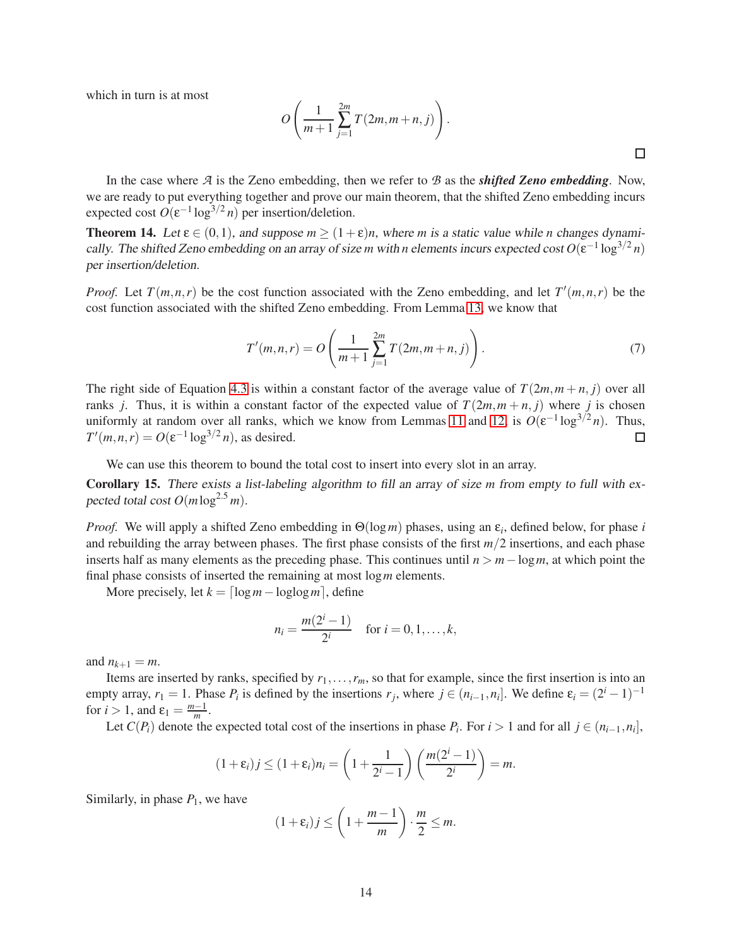which in turn is at most

$$
O\left(\frac{1}{m+1}\sum_{j=1}^{2m}T(2m,m+n,j)\right).
$$

 $\Box$ 

In the case where *A* is the Zeno embedding, then we refer to *B* as the *shifted Zeno embedding*. Now, we are ready to put everything together and prove our main theorem, that the shifted Zeno embedding incurs expected cost  $O(\varepsilon^{-1} \log^{3/2} n)$  per insertion/deletion.

<span id="page-13-0"></span>**Theorem 14.** Let  $\varepsilon \in (0,1)$ , and suppose  $m \ge (1+\varepsilon)n$ , where *m* is a static value while *n* changes dynamically. The shifted Zeno embedding on an array of size *m* with *n* elements incurs expected cost  $O(\epsilon^{-1} \log^{3/2} n)$ per insertion/deletion.

*Proof.* Let  $T(m,n,r)$  be the cost function associated with the Zeno embedding, and let  $T'(m,n,r)$  be the cost function associated with the shifted Zeno embedding. From Lemma [13,](#page-12-0) we know that

<span id="page-13-2"></span>
$$
T'(m,n,r) = O\left(\frac{1}{m+1} \sum_{j=1}^{2m} T(2m,m+n,j)\right).
$$
 (7)

The right side of Equation [4.3](#page-13-2) is within a constant factor of the average value of  $T(2m, m+n, i)$  over all ranks *j*. Thus, it is within a constant factor of the expected value of  $T(2m, m + n, j)$  where *j* is chosen uniformly at random over all ranks, which we know from Lemmas [11](#page-11-1) and [12,](#page-11-2) is  $O(\varepsilon^{-1} \log^{3/2} n)$ . Thus,  $T'(m, n, r) = O(\varepsilon^{-1} \log^{3/2} n)$ , as desired. □

We can use this theorem to bound the total cost to insert into every slot in an array.

<span id="page-13-1"></span>Corollary 15. There exists <sup>a</sup> list-labeling algorithm to fill an array of size *m* from empty to full with expected total cost  $O(m \log^{2.5} m)$ .

*Proof.* We will apply a shifted Zeno embedding in Θ(log*m*) phases, using an ε*<sup>i</sup>* , defined below, for phase *i* and rebuilding the array between phases. The first phase consists of the first *m*/2 insertions, and each phase inserts half as many elements as the preceding phase. This continues until *n* > *m*−log*m*, at which point the final phase consists of inserted the remaining at most log*m* elements.

More precisely, let  $k = \lceil \log m - \log \log m \rceil$ , define

$$
n_i = \frac{m(2^i - 1)}{2^i} \quad \text{for } i = 0, 1, \dots, k,
$$

and  $n_{k+1} = m$ .

Items are inserted by ranks, specified by *r*1,...,*rm*, so that for example, since the first insertion is into an empty array,  $r_1 = 1$ . Phase  $P_i$  is defined by the insertions  $r_j$ , where  $j \in (n_{i-1}, n_i]$ . We define  $\varepsilon_i = (2^i - 1)^{-1}$ for  $i > 1$ , and  $\varepsilon_1 = \frac{m-1}{m}$ .

Let  $C(P_i)$  denote the expected total cost of the insertions in phase  $P_i$ . For  $i > 1$  and for all  $j \in (n_{i-1}, n_i]$ ,

$$
(1+\varepsilon_i) j \leq (1+\varepsilon_i) n_i = \left(1+\frac{1}{2^i-1}\right) \left(\frac{m(2^i-1)}{2^i}\right) = m.
$$

Similarly, in phase  $P_1$ , we have

$$
(1+\varepsilon_i) j \le \left(1+\frac{m-1}{m}\right) \cdot \frac{m}{2} \le m.
$$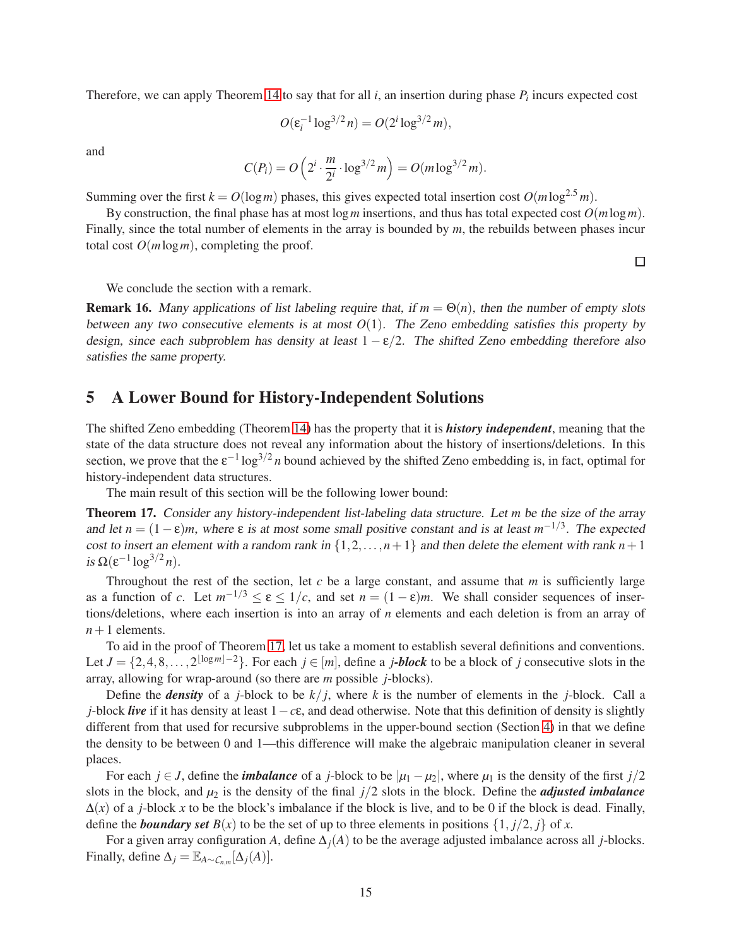Therefore, we can apply Theorem [14](#page-13-0) to say that for all  $i$ , an insertion during phase  $P_i$  incurs expected cost

$$
O(\varepsilon_i^{-1} \log^{3/2} n) = O(2^i \log^{3/2} m),
$$

and

$$
C(P_i) = O\left(2^i \cdot \frac{m}{2^i} \cdot \log^{3/2} m\right) = O(m \log^{3/2} m).
$$

Summing over the first  $k = O(\log m)$  phases, this gives expected total insertion cost  $O(m \log^{2.5} m)$ .

By construction, the final phase has at most log*m* insertions, and thus has total expected cost *O*(*m*log*m*). Finally, since the total number of elements in the array is bounded by *m*, the rebuilds between phases incur total cost  $O(m \log m)$ , completing the proof.

 $\Box$ 

We conclude the section with a remark.

**Remark 16.** Many applications of list labeling require that, if  $m = \Theta(n)$ , then the number of empty slots between any two consecutive elements is at most  $O(1)$ . The Zeno embedding satisfies this property by design, since each subproblem has density at least  $1 - \varepsilon/2$ . The shifted Zeno embedding therefore also satisfies the same property.

# <span id="page-14-1"></span>5 A Lower Bound for History-Independent Solutions

The shifted Zeno embedding (Theorem [14\)](#page-13-0) has the property that it is *history independent*, meaning that the state of the data structure does not reveal any information about the history of insertions/deletions. In this section, we prove that the  $\varepsilon^{-1} \log^{3/2} n$  bound achieved by the shifted Zeno embedding is, in fact, optimal for history-independent data structures.

The main result of this section will be the following lower bound:

<span id="page-14-0"></span>Theorem 17. Consider any history-independent list-labeling data structure. Let *m* be the size of the array and let  $n = (1 - \varepsilon)m$ , where  $\varepsilon$  is at most some small positive constant and is at least  $m^{-1/3}$ . The expected cost to insert an element with a random rank in  $\{1, 2, ..., n+1\}$  and then delete the element with rank  $n+1$ is  $\Omega(\varepsilon^{-1} \log^{3/2} n)$ .

Throughout the rest of the section, let *c* be a large constant, and assume that *m* is sufficiently large as a function of *c*. Let  $m^{-1/3} \le \varepsilon \le 1/c$ , and set  $n = (1 - \varepsilon)m$ . We shall consider sequences of insertions/deletions, where each insertion is into an array of *n* elements and each deletion is from an array of  $n+1$  elements.

To aid in the proof of Theorem [17,](#page-14-0) let us take a moment to establish several definitions and conventions. Let  $J = \{2, 4, 8, ..., 2^{\lfloor \log m \rfloor - 2} \}$ . For each  $j \in [m]$ , define a *j***-block** to be a block of *j* consecutive slots in the array, allowing for wrap-around (so there are *m* possible *j*-blocks).

Define the *density* of a *j*-block to be  $k/i$ , where k is the number of elements in the *j*-block. Call a *j*-block *live* if it has density at least 1−*c*ε, and dead otherwise. Note that this definition of density is slightly different from that used for recursive subproblems in the upper-bound section (Section [4\)](#page-7-0) in that we define the density to be between 0 and 1—this difference will make the algebraic manipulation cleaner in several places.

For each *j* ∈ *J*, define the *imbalance* of a *j*-block to be  $|\mu_1 - \mu_2|$ , where  $\mu_1$  is the density of the first *j*/2 slots in the block, and  $\mu_2$  is the density of the final  $j/2$  slots in the block. Define the *adjusted imbalance*  $\Delta(x)$  of a *j*-block *x* to be the block's imbalance if the block is live, and to be 0 if the block is dead. Finally, define the *boundary set*  $B(x)$  to be the set of up to three elements in positions  $\{1, j/2, j\}$  of *x*.

For a given array configuration *A*, define ∆*j*(*A*) to be the average adjusted imbalance across all *j*-blocks. Finally, define  $\Delta_j = \mathbb{E}_{A \sim C_{n,m}}[\Delta_j(A)].$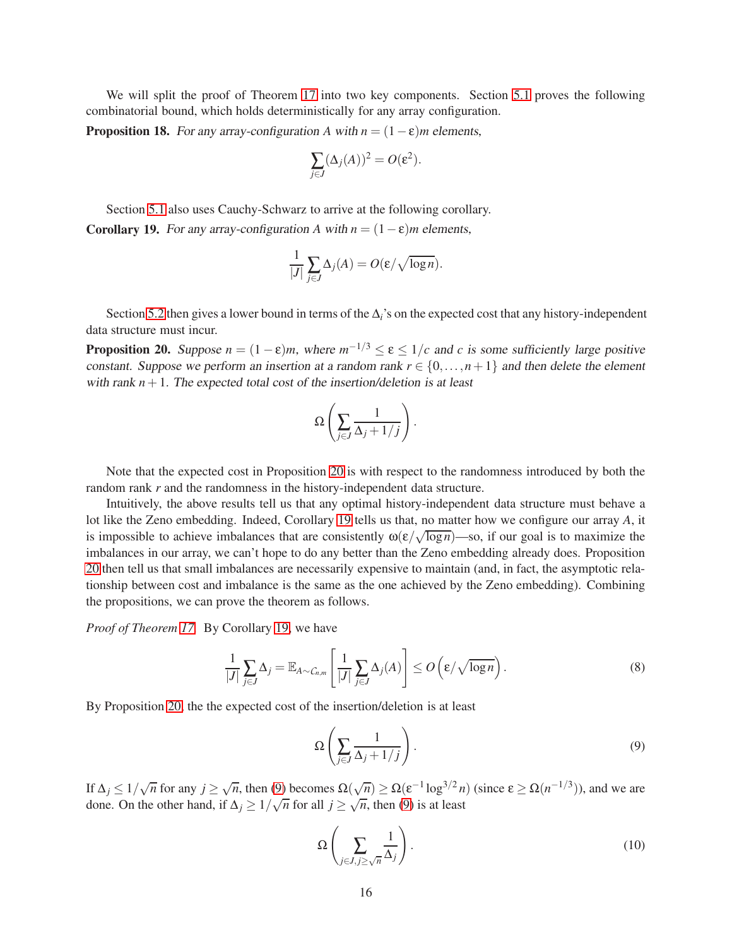We will split the proof of Theorem [17](#page-14-0) into two key components. Section [5.1](#page-16-0) proves the following combinatorial bound, which holds deterministically for any array configuration.

<span id="page-15-4"></span>**Proposition 18.** For any array-configuration *A* with  $n = (1 - \varepsilon)m$  elements,

$$
\sum_{j\in J} (\Delta_j(A))^2 = O(\varepsilon^2).
$$

<span id="page-15-1"></span>Section [5.1](#page-16-0) also uses Cauchy-Schwarz to arrive at the following corollary. Corollary 19. For any array-configuration *A* with  $n = (1 - \varepsilon)m$  elements,

$$
\frac{1}{|J|} \sum_{j \in J} \Delta_j(A) = O(\varepsilon / \sqrt{\log n}).
$$

Section [5.2](#page-18-0) then gives a lower bound in terms of the ∆*i*'s on the expected cost that any history-independent data structure must incur.

<span id="page-15-0"></span>**Proposition 20.** Suppose  $n = (1 - \varepsilon)m$ , where  $m^{-1/3} \le \varepsilon \le 1/c$  and *c* is some sufficiently large positive constant. Suppose we perform an insertion at a random rank  $r \in \{0, \ldots, n+1\}$  and then delete the element with rank  $n+1$ . The expected total cost of the insertion/deletion is at least

$$
\Omega\left(\sum_{j\in J}\frac{1}{\Delta_j+1/j}\right).
$$

Note that the expected cost in Proposition [20](#page-15-0) is with respect to the randomness introduced by both the random rank *r* and the randomness in the history-independent data structure.

Intuitively, the above results tell us that any optimal history-independent data structure must behave a lot like the Zeno embedding. Indeed, Corollary [19](#page-15-1) tells us that, no matter how we configure our array *A*, it is impossible to achieve imbalances that are consistently  $\omega(\varepsilon/\sqrt{\log n})$ —so, if our goal is to maximize the imbalances in our array, we can't hope to do any better than the Zeno embedding already does. Proposition [20](#page-15-0) then tell us that small imbalances are necessarily expensive to maintain (and, in fact, the asymptotic relationship between cost and imbalance is the same as the one achieved by the Zeno embedding). Combining the propositions, we can prove the theorem as follows.

*Proof of Theorem [17.](#page-14-0)* By Corollary [19,](#page-15-1) we have

<span id="page-15-3"></span>
$$
\frac{1}{|J|} \sum_{j \in J} \Delta_j = \mathbb{E}_{A \sim C_{n,m}} \left[ \frac{1}{|J|} \sum_{j \in J} \Delta_j(A) \right] \le O\left(\varepsilon / \sqrt{\log n}\right). \tag{8}
$$

By Proposition [20,](#page-15-0) the the expected cost of the insertion/deletion is at least

<span id="page-15-2"></span>
$$
\Omega\left(\sum_{j\in J}\frac{1}{\Delta_j+1/j}\right). \tag{9}
$$

If  $\Delta_j \leq 1/\sqrt{n}$  for any  $j \geq \sqrt{n}$ , then [\(9\)](#page-15-2) becomes  $\Omega(\sqrt{n}) \geq \Omega(\varepsilon^{-1} \log^{3/2} n)$  (since  $\varepsilon \geq \Omega(n^{-1/3})$ ), and we are done. On the other hand, if  $\Delta_j \geq 1/\sqrt{n}$  for all  $j \geq \sqrt{n}$ , then [\(9\)](#page-15-2) is at least

$$
\Omega\left(\sum_{j\in J,j\geq\sqrt{n}}\frac{1}{\Delta_j}\right). \tag{10}
$$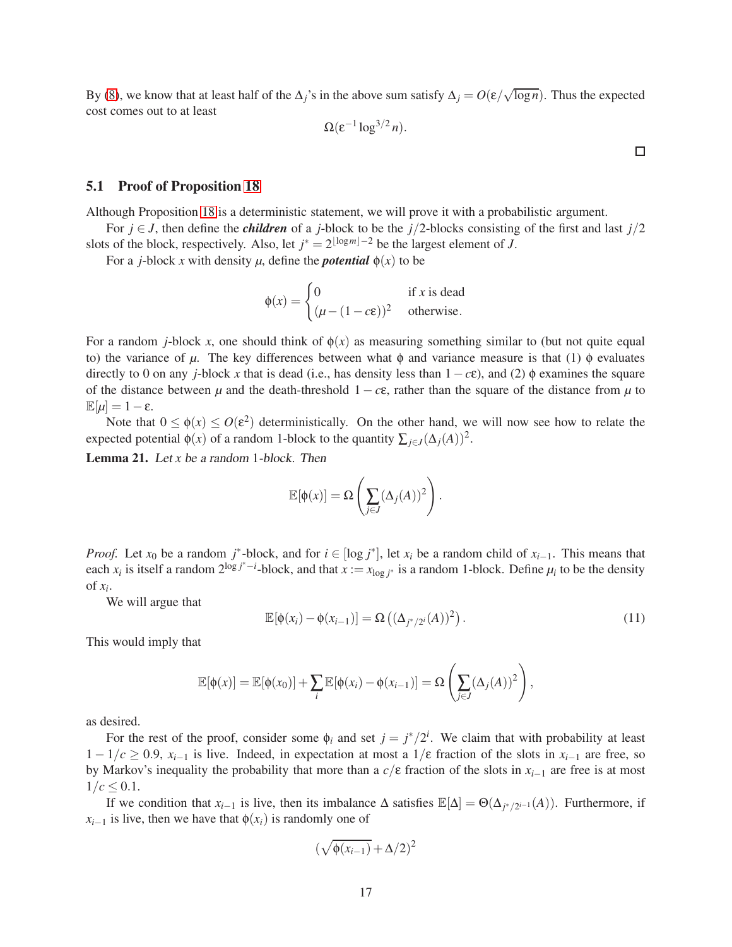By [\(8\)](#page-15-3), we know that at least half of the  $\Delta_j$ 's in the above sum satisfy  $\Delta_j = O(\epsilon/\sqrt{\log n})$ . Thus the expected cost comes out to at least

$$
\Omega(\varepsilon^{-1} \log^{3/2} n).
$$

 $\Box$ 

### <span id="page-16-0"></span>5.1 Proof of Proposition [18](#page-15-4)

Although Proposition [18](#page-15-4) is a deterministic statement, we will prove it with a probabilistic argument.

For  $j \in J$ , then define the *children* of a *j*-block to be the *j*/2-blocks consisting of the first and last  $j/2$ slots of the block, respectively. Also, let  $j^* = 2^{\lfloor \log m \rfloor - 2}$  be the largest element of *J*.

For a *j*-block *x* with density  $\mu$ , define the *potential*  $\phi(x)$  to be

$$
\phi(x) = \begin{cases} 0 & \text{if } x \text{ is dead} \\ (\mu - (1 - c\varepsilon))^2 & \text{otherwise.} \end{cases}
$$

For a random *j*-block *x*, one should think of  $\phi(x)$  as measuring something similar to (but not quite equal to) the variance of  $\mu$ . The key differences between what  $\phi$  and variance measure is that (1)  $\phi$  evaluates directly to 0 on any *j*-block *x* that is dead (i.e., has density less than  $1 - c\epsilon$ ), and (2)  $\phi$  examines the square of the distance between  $\mu$  and the death-threshold 1 −  $c\epsilon$ , rather than the square of the distance from  $\mu$  to  $\mathbb{E}[\mu]=1-\epsilon.$ 

Note that  $0 \le \phi(x) \le O(\varepsilon^2)$  deterministically. On the other hand, we will now see how to relate the expected potential  $\phi(x)$  of a random 1-block to the quantity  $\sum_{j \in J} (\Delta_j(A))^2$ .

<span id="page-16-2"></span>Lemma 21. Let *x* be <sup>a</sup> random 1-block. Then

$$
\mathbb{E}[\phi(x)] = \Omega\left(\sum_{j\in J} (\Delta_j(A))^2\right).
$$

*Proof.* Let  $x_0$  be a random  $j^*$ -block, and for  $i \in [\log j^*]$ , let  $x_i$  be a random child of  $x_{i-1}$ . This means that each  $x_i$  is itself a random  $2^{\log j^* - i}$ -block, and that  $x := x_{\log j^*}$  is a random 1-block. Define  $\mu_i$  to be the density of  $x_i$ .

We will argue that

<span id="page-16-1"></span>
$$
\mathbb{E}[\phi(x_i) - \phi(x_{i-1})] = \Omega\left((\Delta_{j^*/2^i}(A))^2\right).
$$
\n(11)

This would imply that

$$
\mathbb{E}[\phi(x)] = \mathbb{E}[\phi(x_0)] + \sum_i \mathbb{E}[\phi(x_i) - \phi(x_{i-1})] = \Omega\left(\sum_{j \in J} (\Delta_j(A))^2\right),
$$

as desired.

For the rest of the proof, consider some  $\phi_i$  and set  $j = j^*/2^i$ . We claim that with probability at least 1 − 1/*c* ≥ 0.9, *xi*−<sup>1</sup> is live. Indeed, in expectation at most a 1/ε fraction of the slots in *xi*−<sup>1</sup> are free, so by Markov's inequality the probability that more than a  $c/\epsilon$  fraction of the slots in  $x_{i-1}$  are free is at most  $1/c \leq 0.1$ .

If we condition that  $x_{i-1}$  is live, then its imbalance  $\Delta$  satisfies  $\mathbb{E}[\Delta] = \Theta(\Delta_{j^*/2^{i-1}}(A))$ . Furthermore, if  $x_{i-1}$  is live, then we have that  $\phi(x_i)$  is randomly one of

$$
(\sqrt{\phi(x_{i-1})} + \Delta/2)^2
$$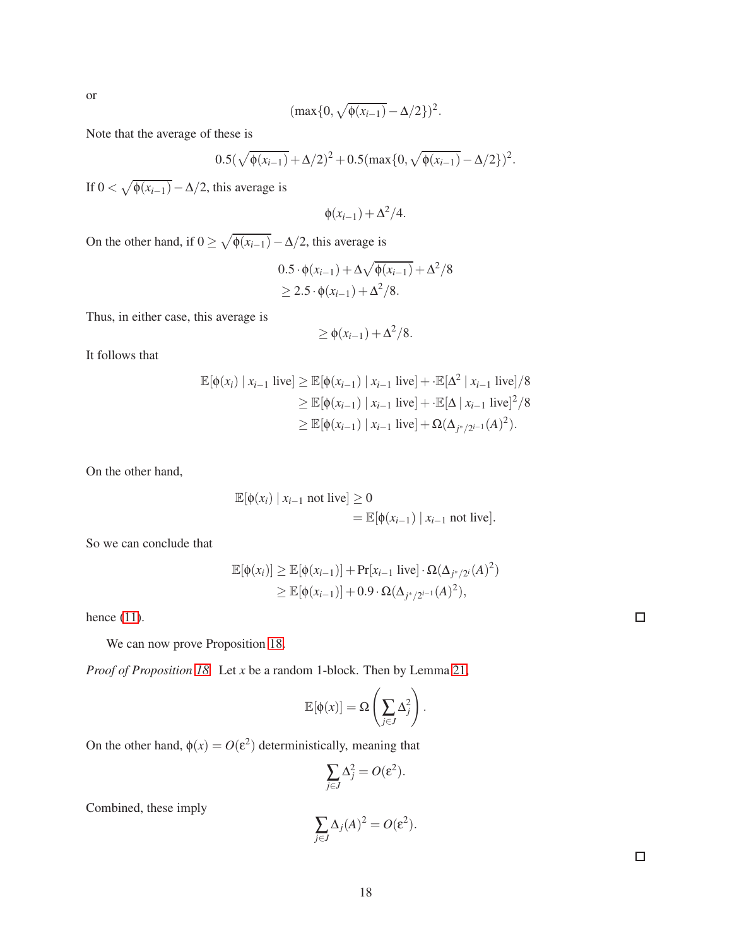or

$$
(\max\{0, \sqrt{\phi(x_{i-1})} - \Delta/2\})^2.
$$

Note that the average of these is

$$
0.5(\sqrt{\phi(x_{i-1})} + \Delta/2)^2 + 0.5(\max\{0, \sqrt{\phi(x_{i-1})} - \Delta/2\})^2.
$$

If  $0 < \sqrt{\phi(x_{i-1})} - \Delta/2$ , this average is

$$
\phi(x_{i-1}) + \Delta^2/4.
$$

On the other hand, if  $0 \ge \sqrt{\phi(x_{i-1})} - \Delta/2$ , this average is

$$
0.5 \cdot \phi(x_{i-1}) + \Delta \sqrt{\phi(x_{i-1})} + \Delta^2/8
$$
  
\n
$$
\geq 2.5 \cdot \phi(x_{i-1}) + \Delta^2/8.
$$

Thus, in either case, this average is

$$
\geq \phi(x_{i-1}) + \Delta^2/8.
$$

It follows that

$$
\mathbb{E}[\phi(x_i) \mid x_{i-1} \text{ live}] \ge \mathbb{E}[\phi(x_{i-1}) \mid x_{i-1} \text{ live}] + \mathbb{E}[\Delta^2 \mid x_{i-1} \text{ live}] / 8
$$
  
\n
$$
\ge \mathbb{E}[\phi(x_{i-1}) \mid x_{i-1} \text{ live}] + \mathbb{E}[\Delta \mid x_{i-1} \text{ live}]^2 / 8
$$
  
\n
$$
\ge \mathbb{E}[\phi(x_{i-1}) \mid x_{i-1} \text{ live}] + \Omega(\Delta_{j^*/2^{i-1}}(A)^2).
$$

On the other hand,

$$
\mathbb{E}[\phi(x_i) | x_{i-1} \text{ not live}] \ge 0
$$
  
= 
$$
\mathbb{E}[\phi(x_{i-1}) | x_{i-1} \text{ not live}].
$$

So we can conclude that

$$
\mathbb{E}[\phi(x_i)] \geq \mathbb{E}[\phi(x_{i-1})] + \Pr[x_{i-1} \text{ live}] \cdot \Omega(\Delta_{j^*/2^i}(A)^2)
$$
  
 
$$
\geq \mathbb{E}[\phi(x_{i-1})] + 0.9 \cdot \Omega(\Delta_{j^*/2^{i-1}}(A)^2),
$$

hence [\(11\)](#page-16-1).

We can now prove Proposition [18.](#page-15-4)

*Proof of Proposition [18.](#page-15-4)* Let *x* be a random 1-block. Then by Lemma [21,](#page-16-2)

$$
\mathbb{E}[\phi(x)] = \Omega\left(\sum_{j\in J} \Delta_j^2\right).
$$

On the other hand,  $\phi(x) = O(\varepsilon^2)$  deterministically, meaning that

$$
\sum_{j\in J}\Delta_j^2=O(\varepsilon^2).
$$

Combined, these imply

$$
\sum_{j\in J} \Delta_j(A)^2 = O(\varepsilon^2).
$$

 $\Box$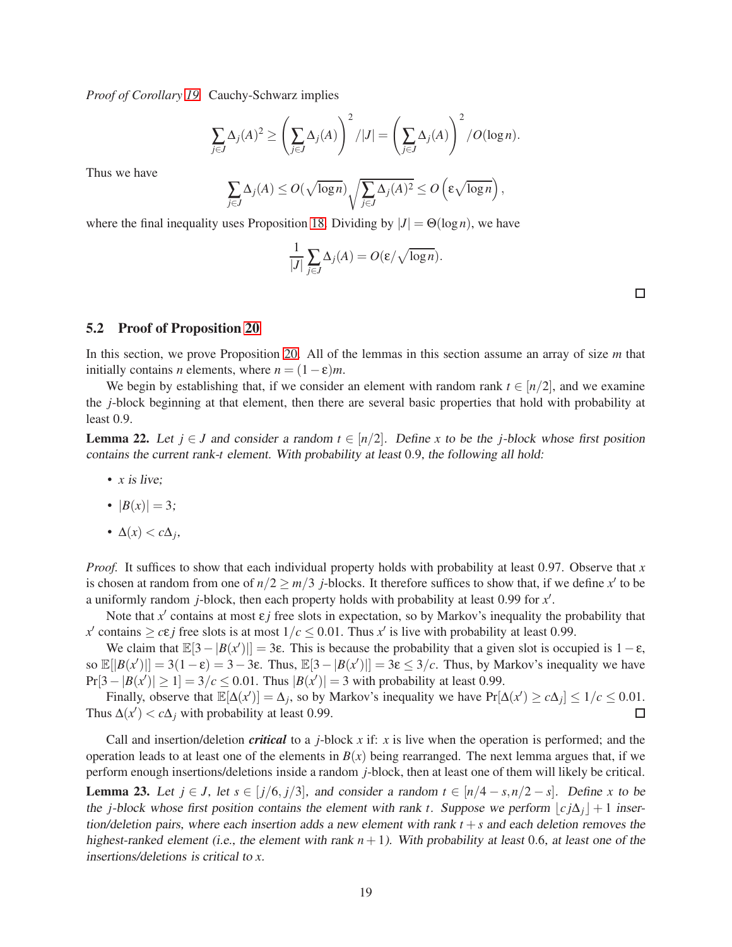*Proof of Corollary [19.](#page-15-1)* Cauchy-Schwarz implies

$$
\sum_{j\in J} \Delta_j(A)^2 \ge \left(\sum_{j\in J} \Delta_j(A)\right)^2 / |J| = \left(\sum_{j\in J} \Delta_j(A)\right)^2 / O(\log n).
$$

Thus we have

$$
\sum_{j\in J} \Delta_j(A) \le O(\sqrt{\log n}) \sqrt{\sum_{j\in J} \Delta_j(A)^2} \le O\left(\varepsilon \sqrt{\log n}\right),
$$

where the final inequality uses Proposition [18.](#page-15-4) Dividing by  $|J| = \Theta(\log n)$ , we have

$$
\frac{1}{|J|} \sum_{j \in J} \Delta_j(A) = O(\varepsilon / \sqrt{\log n}).
$$

 $\Box$ 

### <span id="page-18-0"></span>5.2 Proof of Proposition [20](#page-15-0)

In this section, we prove Proposition [20.](#page-15-0) All of the lemmas in this section assume an array of size *m* that initially contains *n* elements, where  $n = (1 - \varepsilon)m$ .

We begin by establishing that, if we consider an element with random rank  $t \in [n/2]$ , and we examine the *j*-block beginning at that element, then there are several basic properties that hold with probability at least 0.9.

<span id="page-18-1"></span>**Lemma 22.** Let  $j \in J$  and consider a random  $t \in [n/2]$ . Define x to be the *j*-block whose first position contains the current rank-*t* element. With probability at least 0.9, the following all hold:

- *x* is live;
- $|B(x)| = 3;$
- ∆(*x*) < *c*∆*<sup>j</sup>* ,

*Proof.* It suffices to show that each individual property holds with probability at least 0.97. Observe that *x* is chosen at random from one of  $n/2 \ge m/3$  *j*-blocks. It therefore suffices to show that, if we define *x'* to be a uniformly random *j*-block, then each property holds with probability at least 0.99 for *x* ′ .

Note that  $x'$  contains at most  $\varepsilon j$  free slots in expectation, so by Markov's inequality the probability that  $x'$  contains  $\geq c \varepsilon j$  free slots is at most  $1/c \leq 0.01$ . Thus  $x'$  is live with probability at least 0.99.

We claim that  $\mathbb{E}[3 - |B(x')|] = 3\varepsilon$ . This is because the probability that a given slot is occupied is  $1 - \varepsilon$ , so  $\mathbb{E}[|B(x')|] = 3(1-\epsilon) = 3-3\epsilon$ . Thus,  $\mathbb{E}[3-|B(x')|] = 3\epsilon \leq 3/c$ . Thus, by Markov's inequality we have  $Pr[3 - |B(x')| \ge 1] = 3/c \le 0.01$ . Thus  $|B(x')| = 3$  with probability at least 0.99.

Finally, observe that  $\mathbb{E}[\Delta(x')] = \Delta_j$ , so by Markov's inequality we have  $Pr[\Delta(x')] \ge c\Delta_j] \le 1/c \le 0.01$ . Thus  $\Delta(x') < c\Delta_j$  with probability at least 0.99.

<span id="page-18-2"></span>Call and insertion/deletion *critical* to a *j*-block *x* if: *x* is live when the operation is performed; and the operation leads to at least one of the elements in  $B(x)$  being rearranged. The next lemma argues that, if we perform enough insertions/deletions inside a random *j*-block, then at least one of them will likely be critical. **Lemma 23.** Let *j* ∈ *J*, let *s* ∈ [*j*/6, *j*/3], and consider a random  $t \text{ ∈ } [n/4 - s, n/2 - s]$ . Define *x* to be the *j*-block whose first position contains the element with rank *t*. Suppose we perform  $|c j\Delta_j| + 1$  insertion/deletion pairs, where each insertion adds a new element with rank  $t + s$  and each deletion removes the highest-ranked element (i.e., the element with rank  $n + 1$ ). With probability at least 0.6, at least one of the insertions/deletions is critical to *x*.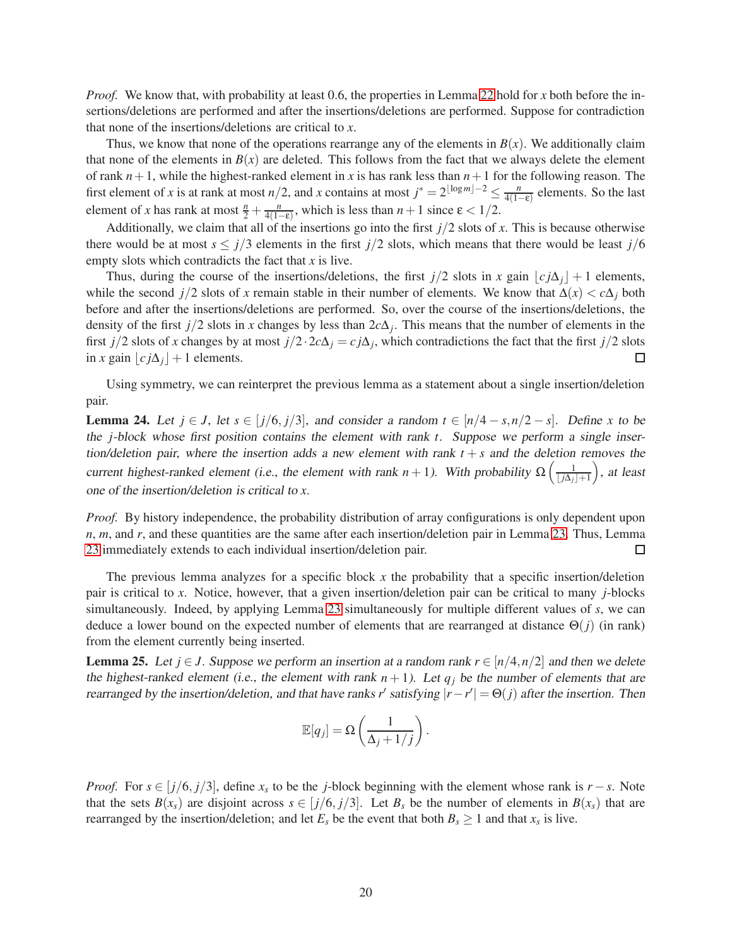*Proof.* We know that, with probability at least 0.6, the properties in Lemma [22](#page-18-1) hold for *x* both before the insertions/deletions are performed and after the insertions/deletions are performed. Suppose for contradiction that none of the insertions/deletions are critical to *x*.

Thus, we know that none of the operations rearrange any of the elements in  $B(x)$ . We additionally claim that none of the elements in  $B(x)$  are deleted. This follows from the fact that we always delete the element of rank  $n+1$ , while the highest-ranked element in x is has rank less than  $n+1$  for the following reason. The first element of *x* is at rank at most *n*/2, and *x* contains at most  $j^* = 2^{\lfloor \log m \rfloor - 2} \le \frac{n}{4(1 - 1)^k}$  $\frac{n}{4(1-\epsilon)}$  elements. So the last element of *x* has rank at most  $\frac{n}{2} + \frac{n}{4(1-n)}$  $\frac{n}{4(1-\epsilon)}$ , which is less than  $n+1$  since  $\epsilon < 1/2$ .

Additionally, we claim that all of the insertions go into the first  $j/2$  slots of  $x$ . This is because otherwise there would be at most  $s \leq j/3$  elements in the first  $j/2$  slots, which means that there would be least  $j/6$ empty slots which contradicts the fact that *x* is live.

Thus, during the course of the insertions/deletions, the first  $j/2$  slots in *x* gain  $|c_j \Delta_j| + 1$  elements, while the second *j*/2 slots of *x* remain stable in their number of elements. We know that  $\Delta(x) < c\Delta_j$  both before and after the insertions/deletions are performed. So, over the course of the insertions/deletions, the density of the first *j*/2 slots in *x* changes by less than 2*c*∆*<sup>j</sup>* . This means that the number of elements in the first *j*/2 slots of *x* changes by at most  $j/2 \cdot 2c\Delta_j = c j\Delta_j$ , which contradictions the fact that the first  $j/2$  slots in *x* gain  $|cj\Delta_j| + 1$  elements.  $\Box$ 

Using symmetry, we can reinterpret the previous lemma as a statement about a single insertion/deletion pair.

<span id="page-19-0"></span>**Lemma 24.** Let *j* ∈ *J*, let *s* ∈ [*j*/6, *j*/3], and consider a random  $t \text{ ∈ } [n/4 - s, n/2 - s]$ . Define *x* to be the *j*-block whose first position contains the element with rank *t*. Suppose we perform <sup>a</sup> single insertion/deletion pair, where the insertion adds a new element with rank  $t + s$  and the deletion removes the current highest-ranked element (i.e., the element with rank  $n + 1$ ). With probability  $\Omega\left(\frac{1}{1+\Delta}\right)$  $\lfloor j\Delta_j\rfloor+1$  , at least one of the insertion/deletion is critical to *x*.

*Proof.* By history independence, the probability distribution of array configurations is only dependent upon *n*, *m*, and *r*, and these quantities are the same after each insertion/deletion pair in Lemma [23.](#page-18-2) Thus, Lemma [23](#page-18-2) immediately extends to each individual insertion/deletion pair.  $\Box$ 

The previous lemma analyzes for a specific block *x* the probability that a specific insertion/deletion pair is critical to *x*. Notice, however, that a given insertion/deletion pair can be critical to many *j*-blocks simultaneously. Indeed, by applying Lemma [23](#page-18-2) simultaneously for multiple different values of *s*, we can deduce a lower bound on the expected number of elements that are rearranged at distance Θ(*j*) (in rank) from the element currently being inserted.

<span id="page-19-1"></span>**Lemma 25.** Let  $j \in J$ . Suppose we perform an insertion at a random rank  $r \in [n/4, n/2]$  and then we delete the highest-ranked element (i.e., the element with rank  $n + 1$ ). Let  $q_i$  be the number of elements that are rearranged by the insertion/deletion, and that have ranks *r*<sup> $\prime$ </sup> satisfying  $|r - r' | = \Theta(j)$  after the insertion. Then

$$
\mathbb{E}[q_j] = \Omega\left(\frac{1}{\Delta_j + 1/j}\right).
$$

*Proof.* For  $s \in [j/6, j/3]$ , define  $x_s$  to be the *j*-block beginning with the element whose rank is  $r - s$ . Note that the sets  $B(x_s)$  are disjoint across  $s \in [j/6, j/3]$ . Let  $B_s$  be the number of elements in  $B(x_s)$  that are rearranged by the insertion/deletion; and let  $E_s$  be the event that both  $B_s \ge 1$  and that  $x_s$  is live.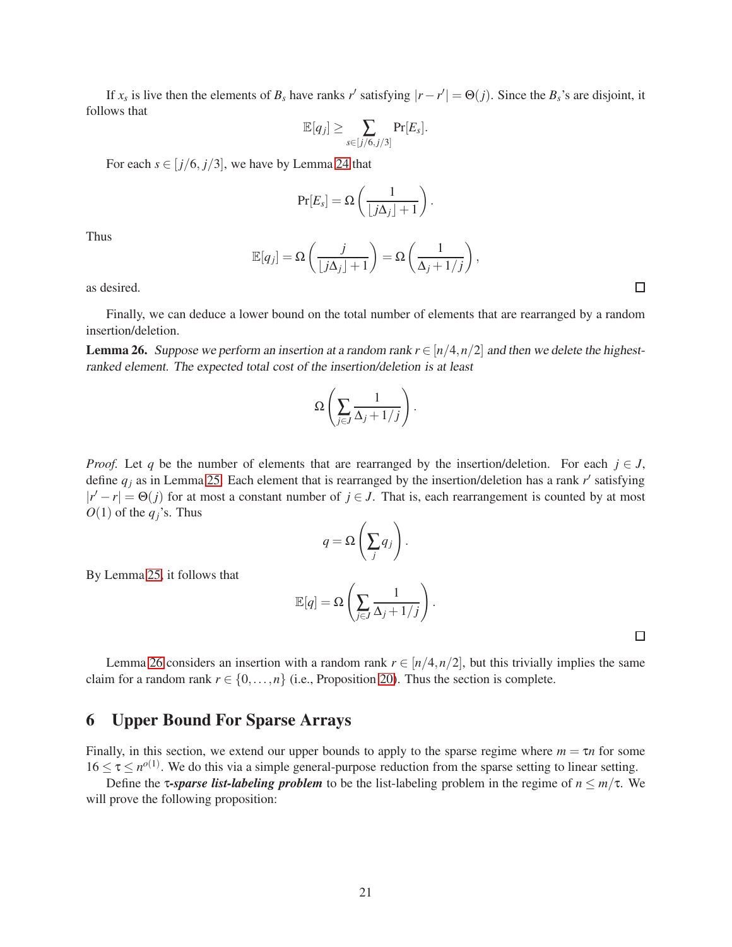If  $x_s$  is live then the elements of  $B_s$  have ranks  $r'$  satisfying  $|r - r'| = \Theta(j)$ . Since the  $B_s$ 's are disjoint, it follows that

$$
\mathbb{E}[q_j] \geq \sum_{s \in [j/6, j/3]} \Pr[E_s].
$$

For each  $s \in [j/6, j/3]$ , we have by Lemma [24](#page-19-0) that

$$
\Pr[E_s] = \Omega\left(\frac{1}{\lfloor j\Delta_j \rfloor + 1}\right).
$$

Thus

$$
\mathbb{E}[q_j] = \Omega\left(\frac{j}{\lfloor j\Delta_j \rfloor + 1}\right) = \Omega\left(\frac{1}{\Delta_j + 1/j}\right),\,
$$

as desired.

Finally, we can deduce a lower bound on the total number of elements that are rearranged by a random insertion/deletion.

<span id="page-20-1"></span>**Lemma 26.** Suppose we perform an insertion at a random rank  $r \in [n/4, n/2]$  and then we delete the highestranked element. The expected total cost of the insertion/deletion is at least

$$
\Omega\left(\sum_{j\in J}\frac{1}{\Delta_j+1/j}\right).
$$

*Proof.* Let *q* be the number of elements that are rearranged by the insertion/deletion. For each  $j \in J$ , define  $q_j$  as in Lemma [25.](#page-19-1) Each element that is rearranged by the insertion/deletion has a rank  $r'$  satisfying  $|r' - r| = \Theta(j)$  for at most a constant number of  $j \in J$ . That is, each rearrangement is counted by at most  $O(1)$  of the  $q_i$ 's. Thus

$$
q = \Omega\left(\sum_j q_j\right).
$$

By Lemma [25,](#page-19-1) it follows that

$$
\mathbb{E}[q] = \Omega\left(\sum_{j\in J}\frac{1}{\Delta_j+1/j}\right).
$$

 $\Box$ 

Lemma [26](#page-20-1) considers an insertion with a random rank  $r \in [n/4, n/2]$ , but this trivially implies the same claim for a random rank  $r \in \{0, \ldots, n\}$  (i.e., Proposition [20\)](#page-15-0). Thus the section is complete.

# <span id="page-20-0"></span>6 Upper Bound For Sparse Arrays

Finally, in this section, we extend our upper bounds to apply to the sparse regime where  $m = \tau n$  for some  $16 \le \tau \le n^{o(1)}$ . We do this via a simple general-purpose reduction from the sparse setting to linear setting.

Define the **τ-sparse list-labeling problem** to be the list-labeling problem in the regime of  $n \leq m/\tau$ . We will prove the following proposition: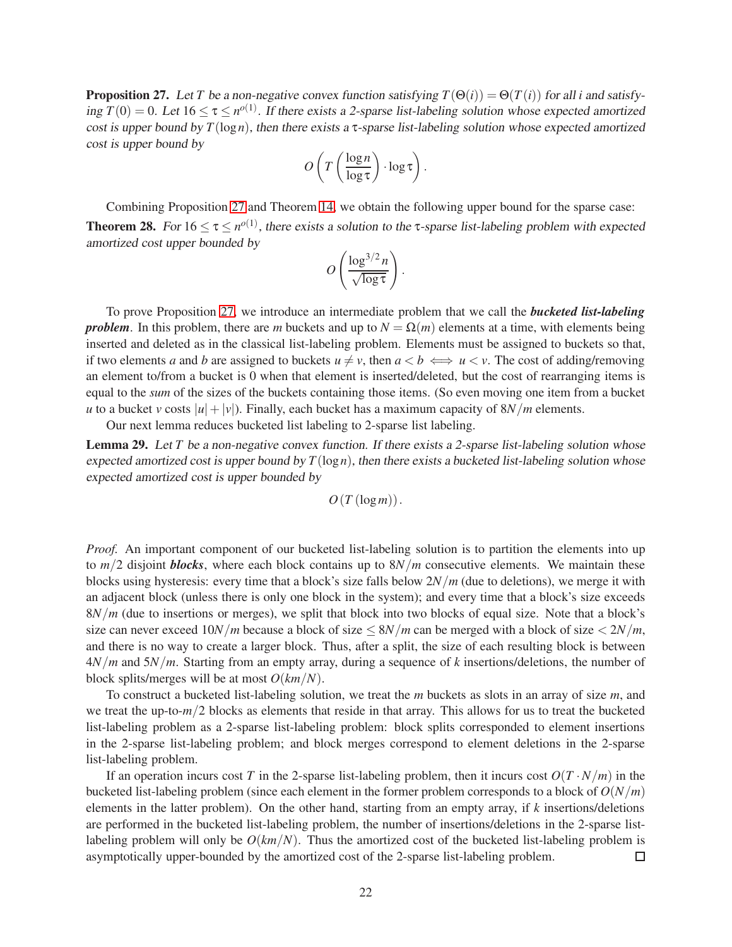<span id="page-21-1"></span>**Proposition 27.** Let *T* be a non-negative convex function satisfying  $T(\Theta(i)) = \Theta(T(i))$  for all *i* and satisfying  $T(0) = 0$ . Let  $16 \le \tau \le n^{o(1)}$ . If there exists a 2-sparse list-labeling solution whose expected amortized cost is upper bound by  $T(\log n)$ , then there exists a  $\tau$ -sparse list-labeling solution whose expected amortized cost is upper bound by

$$
O\left(T\left(\frac{\log n}{\log \tau}\right) \cdot \log \tau\right).
$$

<span id="page-21-0"></span>Combining Proposition [27](#page-21-1) and Theorem [14,](#page-13-0) we obtain the following upper bound for the sparse case: **Theorem 28.** For  $16 \le \tau \le n^{o(1)}$ , there exists a solution to the  $\tau$ -sparse list-labeling problem with expected amortized cost upper bounded by

$$
O\left(\frac{\log^{3/2} n}{\sqrt{\log \tau}}\right).
$$

To prove Proposition [27,](#page-21-1) we introduce an intermediate problem that we call the *bucketed list-labeling problem*. In this problem, there are *m* buckets and up to  $N = \Omega(m)$  elements at a time, with elements being inserted and deleted as in the classical list-labeling problem. Elements must be assigned to buckets so that, if two elements *a* and *b* are assigned to buckets  $u \neq v$ , then  $a < b \iff u < v$ . The cost of adding/removing an element to/from a bucket is 0 when that element is inserted/deleted, but the cost of rearranging items is equal to the *sum* of the sizes of the buckets containing those items. (So even moving one item from a bucket *u* to a bucket *v* costs  $|u| + |v|$ ). Finally, each bucket has a maximum capacity of 8*N*/*m* elements.

Our next lemma reduces bucketed list labeling to 2-sparse list labeling.

<span id="page-21-2"></span>Lemma 29. Let *T* be a non-negative convex function. If there exists a 2-sparse list-labeling solution whose expected amortized cost is upper bound by  $T(\log n)$ , then there exists a bucketed list-labeling solution whose expected amortized cost is upper bounded by

$$
O(T(\log m)).
$$

*Proof.* An important component of our bucketed list-labeling solution is to partition the elements into up to *m*/2 disjoint *blocks*, where each block contains up to 8*N*/*m* consecutive elements. We maintain these blocks using hysteresis: every time that a block's size falls below 2*N*/*m* (due to deletions), we merge it with an adjacent block (unless there is only one block in the system); and every time that a block's size exceeds 8*N*/*m* (due to insertions or merges), we split that block into two blocks of equal size. Note that a block's size can never exceed  $10N/m$  because a block of size  $\leq 8N/m$  can be merged with a block of size  $\lt 2N/m$ , and there is no way to create a larger block. Thus, after a split, the size of each resulting block is between 4*N*/*m* and 5*N*/*m*. Starting from an empty array, during a sequence of *k* insertions/deletions, the number of block splits/merges will be at most *O*(*km*/*N*).

To construct a bucketed list-labeling solution, we treat the *m* buckets as slots in an array of size *m*, and we treat the up-to-*m*/2 blocks as elements that reside in that array. This allows for us to treat the bucketed list-labeling problem as a 2-sparse list-labeling problem: block splits corresponded to element insertions in the 2-sparse list-labeling problem; and block merges correspond to element deletions in the 2-sparse list-labeling problem.

If an operation incurs cost *T* in the 2-sparse list-labeling problem, then it incurs cost  $O(T \cdot N/m)$  in the bucketed list-labeling problem (since each element in the former problem corresponds to a block of *O*(*N*/*m*) elements in the latter problem). On the other hand, starting from an empty array, if *k* insertions/deletions are performed in the bucketed list-labeling problem, the number of insertions/deletions in the 2-sparse listlabeling problem will only be  $O(km/N)$ . Thus the amortized cost of the bucketed list-labeling problem is asymptotically upper-bounded by the amortized cost of the 2-sparse list-labeling problem.  $\Box$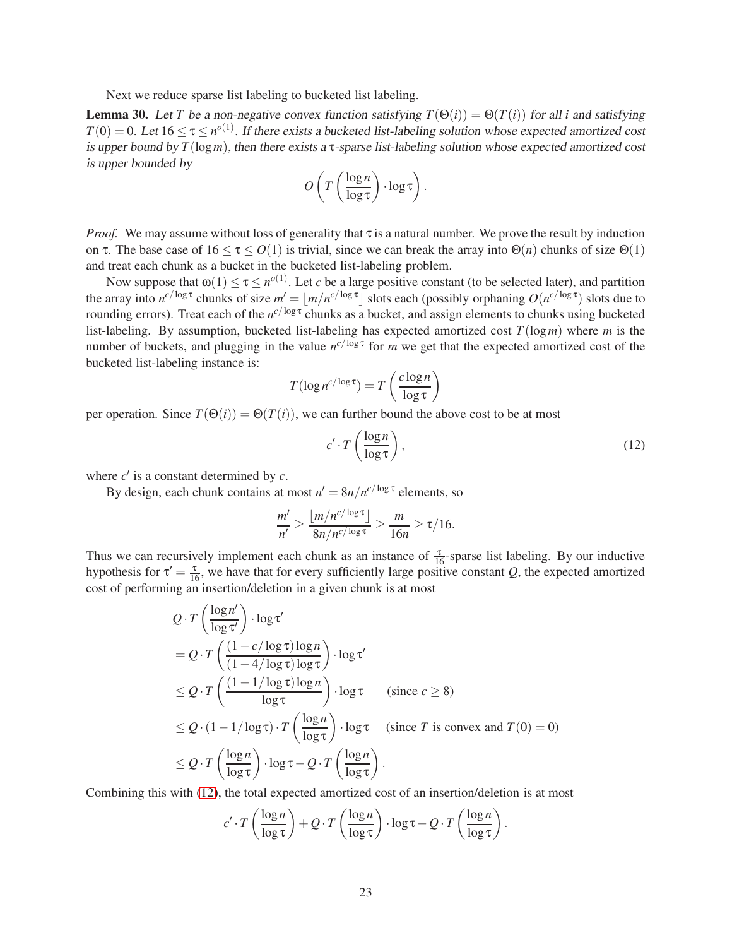Next we reduce sparse list labeling to bucketed list labeling.

<span id="page-22-1"></span>**Lemma 30.** Let *T* be a non-negative convex function satisfying  $T(\Theta(i)) = \Theta(T(i))$  for all *i* and satisfying  $T(0) = 0$ . Let  $16 \le \tau \le n^{o(1)}$ . If there exists a bucketed list-labeling solution whose expected amortized cost is upper bound by  $T(\log m)$ , then there exists a  $\tau$ -sparse list-labeling solution whose expected amortized cost is upper bounded by

$$
O\left(T\left(\frac{\log n}{\log \tau}\right) \cdot \log \tau\right).
$$

*Proof.* We may assume without loss of generality that τ is a natural number. We prove the result by induction on τ. The base case of  $16 \le \tau \le O(1)$  is trivial, since we can break the array into  $\Theta(n)$  chunks of size  $\Theta(1)$ and treat each chunk as a bucket in the bucketed list-labeling problem.

Now suppose that  $\omega(1) \le \tau \le n^{o(1)}$ . Let *c* be a large positive constant (to be selected later), and partition the array into  $n^{c/\log \tau}$  chunks of size  $m' = \lfloor m/n^{c/\log \tau} \rfloor$  slots each (possibly orphaning  $O(n^{c/\log \tau})$  slots due to rounding errors). Treat each of the *n<sup>c/log τ</sup>* chunks as a bucket, and assign elements to chunks using bucketed list-labeling. By assumption, bucketed list-labeling has expected amortized cost *T*(log*m*) where *m* is the number of buckets, and plugging in the value  $n^{c/\log \tau}$  for *m* we get that the expected amortized cost of the bucketed list-labeling instance is:

$$
T(\log n^{c/\log \tau}) = T\left(\frac{c\log n}{\log \tau}\right)
$$

per operation. Since  $T(\Theta(i)) = \Theta(T(i))$ , we can further bound the above cost to be at most

<span id="page-22-0"></span>
$$
c' \cdot T\left(\frac{\log n}{\log \tau}\right),\tag{12}
$$

.

where  $c'$  is a constant determined by  $c$ .

By design, each chunk contains at most  $n' = 8n/n^{c/\log \tau}$  elements, so

$$
\frac{m'}{n'} \ge \frac{\lfloor m/n^{c/\log \tau} \rfloor}{8n/n^{c/\log \tau}} \ge \frac{m}{16n} \ge \tau/16.
$$

Thus we can recursively implement each chunk as an instance of  $\frac{\tau}{16}$ -sparse list labeling. By our inductive hypothesis for  $\tau' = \frac{\tau}{16}$ , we have that for every sufficiently large positive constant *Q*, the expected amortized cost of performing an insertion/deletion in a given chunk is at most

$$
Q \cdot T\left(\frac{\log n'}{\log \tau'}\right) \cdot \log \tau'
$$
  
=  $Q \cdot T\left(\frac{(1 - c/\log \tau) \log n}{(1 - 4/\log \tau) \log \tau}\right) \cdot \log \tau'$   
 $\leq Q \cdot T\left(\frac{(1 - 1/\log \tau) \log n}{\log \tau}\right) \cdot \log \tau$  (since  $c \geq 8$ )  
 $\leq Q \cdot (1 - 1/\log \tau) \cdot T\left(\frac{\log n}{\log \tau}\right) \cdot \log \tau$  (since  $T$  is convex and  $T(0) = 0$ )  
 $\leq Q \cdot T\left(\frac{\log n}{\log \tau}\right) \cdot \log \tau - Q \cdot T\left(\frac{\log n}{\log \tau}\right).$ 

Combining this with [\(12\)](#page-22-0), the total expected amortized cost of an insertion/deletion is at most

$$
c' \cdot T\left(\frac{\log n}{\log \tau}\right) + Q \cdot T\left(\frac{\log n}{\log \tau}\right) \cdot \log \tau - Q \cdot T\left(\frac{\log n}{\log \tau}\right)
$$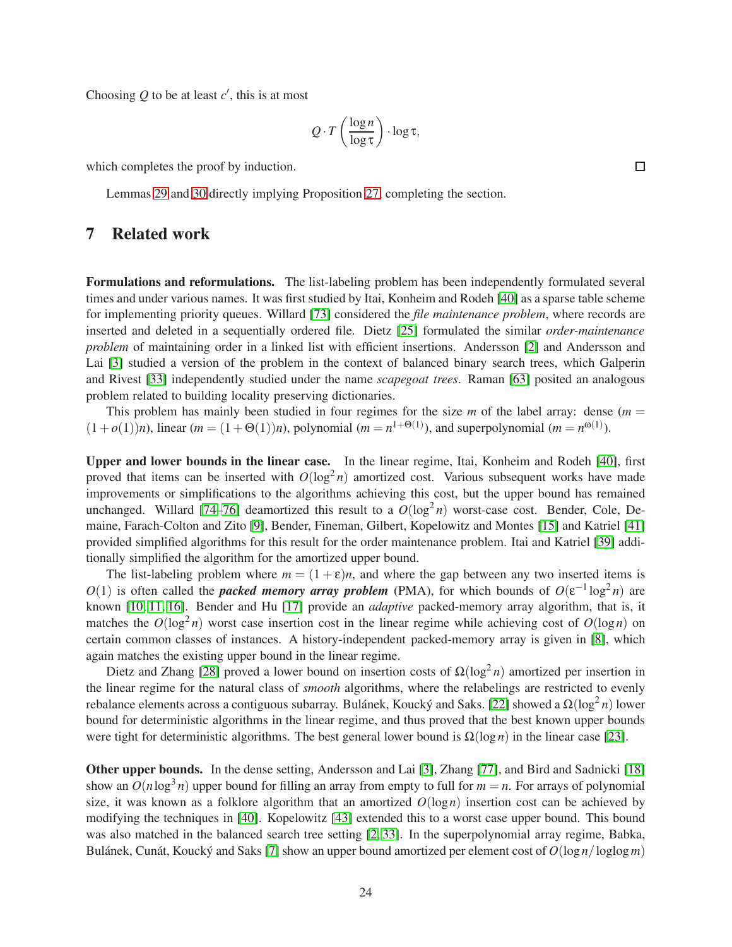Choosing  $Q$  to be at least  $c'$ , this is at most

$$
Q \cdot T\left(\frac{\log n}{\log \tau}\right) \cdot \log \tau,
$$

which completes the proof by induction.

Lemmas [29](#page-21-2) and [30](#page-22-1) directly implying Proposition [27,](#page-21-1) completing the section.

### <span id="page-23-0"></span>7 Related work

Formulations and reformulations. The list-labeling problem has been independently formulated several times and under various names. It was first studied by Itai, Konheim and Rodeh [\[40\]](#page-28-4) as a sparse table scheme for implementing priority queues. Willard [\[73\]](#page-30-3) considered the *file maintenance problem*, where records are inserted and deleted in a sequentially ordered file. Dietz [\[25\]](#page-27-5) formulated the similar *order-maintenance problem* of maintaining order in a linked list with efficient insertions. Andersson [\[2\]](#page-25-1) and Andersson and Lai [\[3\]](#page-25-0) studied a version of the problem in the context of balanced binary search trees, which Galperin and Rivest [\[33\]](#page-27-0) independently studied under the name *scapegoat trees*. Raman [\[63\]](#page-29-1) posited an analogous problem related to building locality preserving dictionaries.

This problem has mainly been studied in four regimes for the size  $m$  of the label array: dense  $(m =$  $(1+o(1))n$ , linear  $(m = (1 + \Theta(1))n)$ , polynomial  $(m = n^{1+\Theta(1)})$ , and superpolynomial  $(m = n^{\omega(1)})$ .

Upper and lower bounds in the linear case. In the linear regime, Itai, Konheim and Rodeh [\[40\]](#page-28-4), first proved that items can be inserted with  $O(\log^2 n)$  amortized cost. Various subsequent works have made improvements or simplifications to the algorithms achieving this cost, but the upper bound has remained unchanged. Willard [\[74–](#page-30-0)[76\]](#page-30-1) deamortized this result to a  $O(\log^2 n)$  worst-case cost. Bender, Cole, Demaine, Farach-Colton and Zito [\[9\]](#page-26-1), Bender, Fineman, Gilbert, Kopelowitz and Montes [\[15\]](#page-26-3) and Katriel [\[41\]](#page-28-1) provided simplified algorithms for this result for the order maintenance problem. Itai and Katriel [\[39\]](#page-28-0) additionally simplified the algorithm for the amortized upper bound.

The list-labeling problem where  $m = (1 + \varepsilon)n$ , and where the gap between any two inserted items is *O*(1) is often called the *packed memory array problem* (PMA), for which bounds of  $O(\varepsilon^{-1} \log^2 n)$  are known [\[10,](#page-26-13) [11,](#page-26-2) [16\]](#page-26-7). Bender and Hu [\[17\]](#page-26-4) provide an *adaptive* packed-memory array algorithm, that is, it matches the  $O(log^2 n)$  worst case insertion cost in the linear regime while achieving cost of  $O(log n)$  on certain common classes of instances. A history-independent packed-memory array is given in [\[8\]](#page-26-5), which again matches the existing upper bound in the linear regime.

Dietz and Zhang [\[28\]](#page-27-3) proved a lower bound on insertion costs of  $\Omega(\log^2 n)$  amortized per insertion in the linear regime for the natural class of *smooth* algorithms, where the relabelings are restricted to evenly rebalance elements across a contiguous subarray. Bulánek, Koucký and Saks. [\[22\]](#page-27-1) showed a  $\Omega(\log^2 n)$  lower bound for deterministic algorithms in the linear regime, and thus proved that the best known upper bounds were tight for deterministic algorithms. The best general lower bound is  $\Omega(\log n)$  in the linear case [\[23\]](#page-27-7).

Other upper bounds. In the dense setting, Andersson and Lai [\[3\]](#page-25-0), Zhang [\[77\]](#page-30-2), and Bird and Sadnicki [\[18\]](#page-26-10) show an  $O(n \log^3 n)$  upper bound for filling an array from empty to full for  $m = n$ . For arrays of polynomial size, it was known as a folklore algorithm that an amortized  $O(\log n)$  insertion cost can be achieved by modifying the techniques in [\[40\]](#page-28-4). Kopelowitz [\[43\]](#page-28-5) extended this to a worst case upper bound. This bound was also matched in the balanced search tree setting [\[2,](#page-25-1) [33\]](#page-27-0). In the superpolynomial array regime, Babka, Bulánek, Cunát, Koucký and Saks [\[7\]](#page-26-0) show an upper bound amortized per element cost of  $O(\log n / \log \log m)$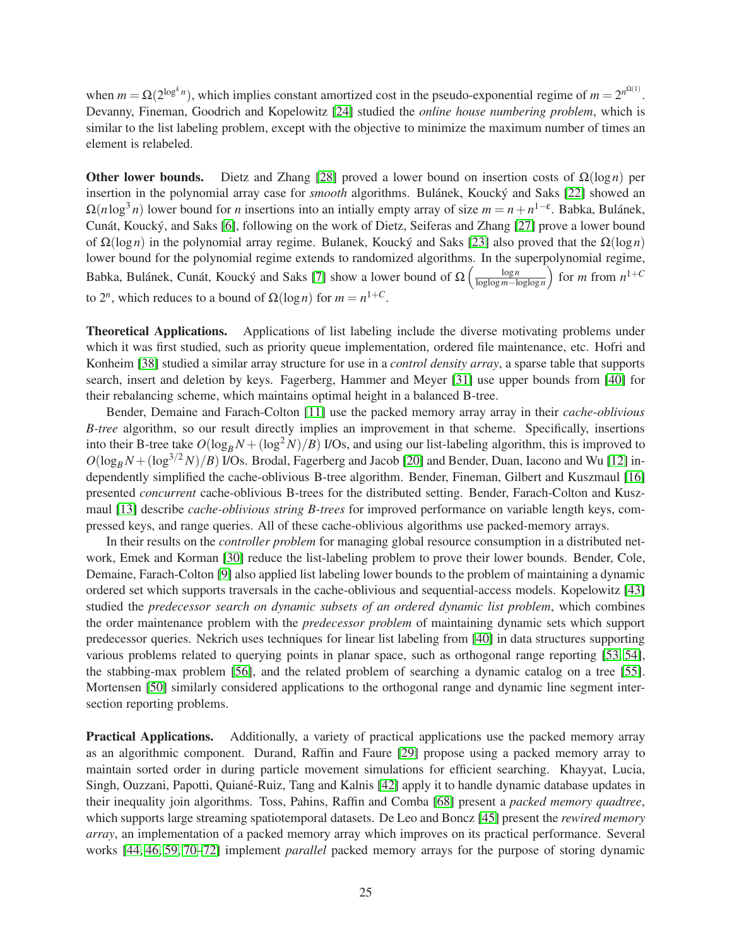when  $m = \Omega(2^{\log^k n})$ , which implies constant amortized cost in the pseudo-exponential regime of  $m = 2^{n^{\Omega(1)}}$ . Devanny, Fineman, Goodrich and Kopelowitz [\[24\]](#page-27-4) studied the *online house numbering problem*, which is similar to the list labeling problem, except with the objective to minimize the maximum number of times an element is relabeled.

Other lower bounds. Dietz and Zhang [\[28\]](#page-27-3) proved a lower bound on insertion costs of Ω(log*n*) per insertion in the polynomial array case for *smooth* algorithms. Bulánek, Koucký and Saks [\[22\]](#page-27-1) showed an  $\Omega(n \log^3 n)$  lower bound for *n* insertions into an intially empty array of size  $m = n + n^{1-\epsilon}$ . Babka, Bulánek, Cunát, Koucký, and Saks [\[6\]](#page-26-9), following on the work of Dietz, Seiferas and Zhang [\[27\]](#page-27-11) prove a lower bound of Ω(log*n*) in the polynomial array regime. Bulanek, Kouck´y and Saks [\[23\]](#page-27-7) also proved that the Ω(log*n*) lower bound for the polynomial regime extends to randomized algorithms. In the superpolynomial regime, Babka, Bulánek, Cunát, Koucký and Saks [\[7\]](#page-26-0) show a lower bound of  $\Omega\left(\frac{\log n}{\log\log m - \ln n}\right)$ loglog *m*−loglog*n* for *m* from  $n^{1+C}$ to  $2^n$ , which reduces to a bound of  $\Omega(\log n)$  for  $m = n^{1+C}$ .

Theoretical Applications. Applications of list labeling include the diverse motivating problems under which it was first studied, such as priority queue implementation, ordered file maintenance, etc. Hofri and Konheim [\[38\]](#page-28-12) studied a similar array structure for use in a *control density array*, a sparse table that supports search, insert and deletion by keys. Fagerberg, Hammer and Meyer [\[31\]](#page-27-12) use upper bounds from [\[40\]](#page-28-4) for their rebalancing scheme, which maintains optimal height in a balanced B-tree.

Bender, Demaine and Farach-Colton [\[11\]](#page-26-2) use the packed memory array array in their *cache-oblivious B-tree* algorithm, so our result directly implies an improvement in that scheme. Specifically, insertions into their B-tree take  $O(\log_B N + (\log^2 N)/B)$  I/Os, and using our list-labeling algorithm, this is improved to  $O(\log_B N + (\log^{3/2} N)/B)$  I/Os. Brodal, Fagerberg and Jacob [\[20\]](#page-26-8) and Bender, Duan, Iacono and Wu [\[12\]](#page-26-12) independently simplified the cache-oblivious B-tree algorithm. Bender, Fineman, Gilbert and Kuszmaul [\[16\]](#page-26-7) presented *concurrent* cache-oblivious B-trees for the distributed setting. Bender, Farach-Colton and Kuszmaul [\[13\]](#page-26-6) describe *cache-oblivious string B-trees* for improved performance on variable length keys, compressed keys, and range queries. All of these cache-oblivious algorithms use packed-memory arrays.

In their results on the *controller problem* for managing global resource consumption in a distributed network, Emek and Korman [\[30\]](#page-27-13) reduce the list-labeling problem to prove their lower bounds. Bender, Cole, Demaine, Farach-Colton [\[9\]](#page-26-1) also applied list labeling lower bounds to the problem of maintaining a dynamic ordered set which supports traversals in the cache-oblivious and sequential-access models. Kopelowitz [\[43\]](#page-28-5) studied the *predecessor search on dynamic subsets of an ordered dynamic list problem*, which combines the order maintenance problem with the *predecessor problem* of maintaining dynamic sets which support predecessor queries. Nekrich uses techniques for linear list labeling from [\[40\]](#page-28-4) in data structures supporting various problems related to querying points in planar space, such as orthogonal range reporting [\[53,](#page-29-7) [54\]](#page-29-8), the stabbing-max problem [\[56\]](#page-29-9), and the related problem of searching a dynamic catalog on a tree [\[55\]](#page-29-10). Mortensen [\[50\]](#page-28-13) similarly considered applications to the orthogonal range and dynamic line segment intersection reporting problems.

Practical Applications. Additionally, a variety of practical applications use the packed memory array as an algorithmic component. Durand, Raffin and Faure [\[29\]](#page-27-14) propose using a packed memory array to maintain sorted order in during particle movement simulations for efficient searching. Khayyat, Lucia, Singh, Ouzzani, Papotti, Quiané-Ruiz, Tang and Kalnis [\[42\]](#page-28-14) apply it to handle dynamic database updates in their inequality join algorithms. Toss, Pahins, Raffin and Comba [\[68\]](#page-29-11) present a *packed memory quadtree*, which supports large streaming spatiotemporal datasets. De Leo and Boncz [\[45\]](#page-28-15) present the *rewired memory array*, an implementation of a packed memory array which improves on its practical performance. Several works [\[44,](#page-28-2) [46,](#page-28-3) [59,](#page-29-2) [70–](#page-30-4)[72\]](#page-30-5) implement *parallel* packed memory arrays for the purpose of storing dynamic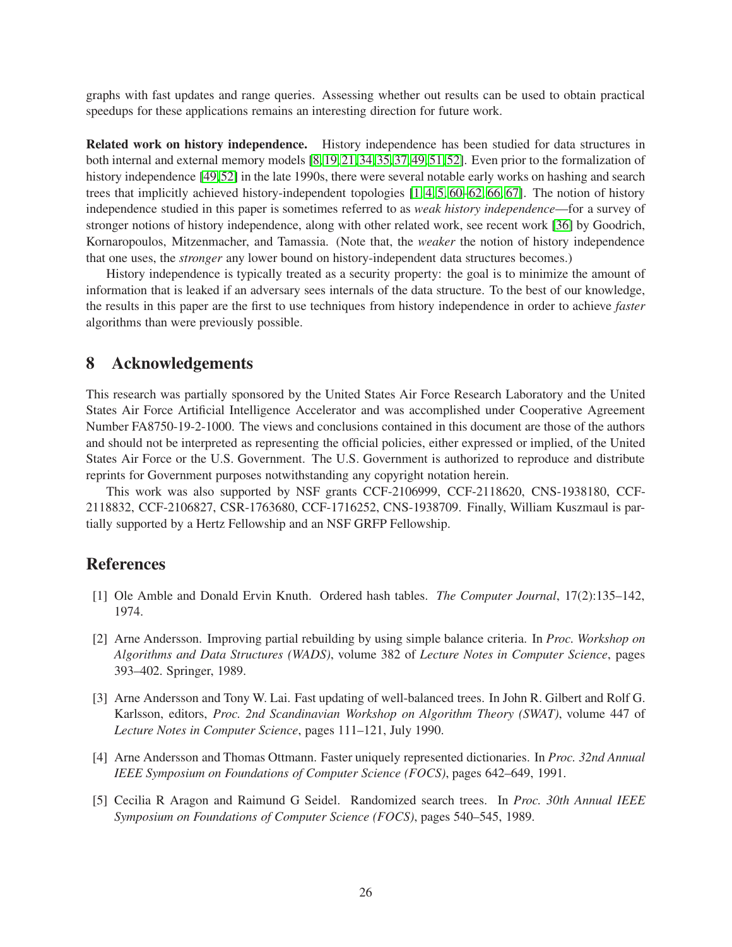graphs with fast updates and range queries. Assessing whether out results can be used to obtain practical speedups for these applications remains an interesting direction for future work.

Related work on history independence. History independence has been studied for data structures in both internal and external memory models [\[8,](#page-26-5) [19,](#page-26-11) [21,](#page-27-8) [34,](#page-27-9) [35,](#page-27-10) [37,](#page-28-9) [49,](#page-28-7) [51,](#page-28-10) [52\]](#page-28-8). Even prior to the formalization of history independence [\[49,](#page-28-7)[52\]](#page-28-8) in the late 1990s, there were several notable early works on hashing and search trees that implicitly achieved history-independent topologies [\[1,](#page-25-3) [4,](#page-25-4) [5,](#page-25-2) [60](#page-29-12)[–62,](#page-29-13) [66,](#page-29-14) [67\]](#page-29-15). The notion of history independence studied in this paper is sometimes referred to as *weak history independence*—for a survey of stronger notions of history independence, along with other related work, see recent work [\[36\]](#page-27-15) by Goodrich, Kornaropoulos, Mitzenmacher, and Tamassia. (Note that, the *weaker* the notion of history independence that one uses, the *stronger* any lower bound on history-independent data structures becomes.)

History independence is typically treated as a security property: the goal is to minimize the amount of information that is leaked if an adversary sees internals of the data structure. To the best of our knowledge, the results in this paper are the first to use techniques from history independence in order to achieve *faster* algorithms than were previously possible.

# 8 Acknowledgements

This research was partially sponsored by the United States Air Force Research Laboratory and the United States Air Force Artificial Intelligence Accelerator and was accomplished under Cooperative Agreement Number FA8750-19-2-1000. The views and conclusions contained in this document are those of the authors and should not be interpreted as representing the official policies, either expressed or implied, of the United States Air Force or the U.S. Government. The U.S. Government is authorized to reproduce and distribute reprints for Government purposes notwithstanding any copyright notation herein.

This work was also supported by NSF grants CCF-2106999, CCF-2118620, CNS-1938180, CCF-2118832, CCF-2106827, CSR-1763680, CCF-1716252, CNS-1938709. Finally, William Kuszmaul is partially supported by a Hertz Fellowship and an NSF GRFP Fellowship.

# <span id="page-25-3"></span>References

- <span id="page-25-1"></span>[1] Ole Amble and Donald Ervin Knuth. Ordered hash tables. *The Computer Journal*, 17(2):135–142, 1974.
- [2] Arne Andersson. Improving partial rebuilding by using simple balance criteria. In *Proc. Workshop on Algorithms and Data Structures (WADS)*, volume 382 of *Lecture Notes in Computer Science*, pages 393–402. Springer, 1989.
- <span id="page-25-0"></span>[3] Arne Andersson and Tony W. Lai. Fast updating of well-balanced trees. In John R. Gilbert and Rolf G. Karlsson, editors, *Proc. 2nd Scandinavian Workshop on Algorithm Theory (SWAT)*, volume 447 of *Lecture Notes in Computer Science*, pages 111–121, July 1990.
- <span id="page-25-4"></span>[4] Arne Andersson and Thomas Ottmann. Faster uniquely represented dictionaries. In *Proc. 32nd Annual IEEE Symposium on Foundations of Computer Science (FOCS)*, pages 642–649, 1991.
- <span id="page-25-2"></span>[5] Cecilia R Aragon and Raimund G Seidel. Randomized search trees. In *Proc. 30th Annual IEEE Symposium on Foundations of Computer Science (FOCS)*, pages 540–545, 1989.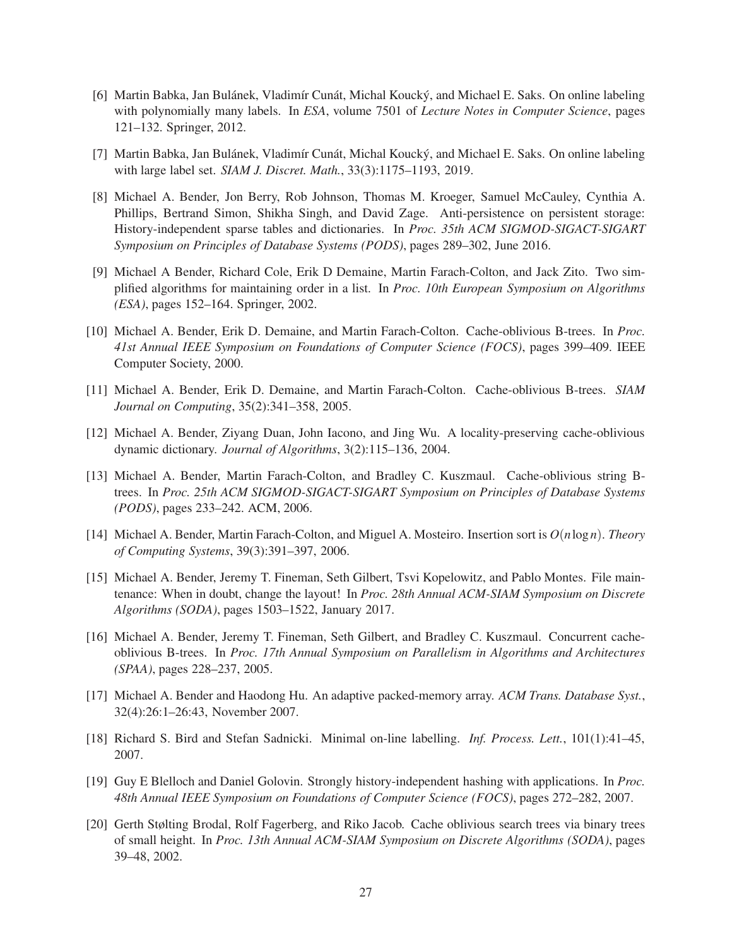- <span id="page-26-9"></span>[6] Martin Babka, Jan Bulánek, Vladimír Cunát, Michal Koucký, and Michael E. Saks. On online labeling with polynomially many labels. In *ESA*, volume 7501 of *Lecture Notes in Computer Science*, pages 121–132. Springer, 2012.
- <span id="page-26-5"></span><span id="page-26-0"></span>[7] Martin Babka, Jan Bulánek, Vladimír Cunát, Michal Koucký, and Michael E. Saks. On online labeling with large label set. *SIAM J. Discret. Math.*, 33(3):1175–1193, 2019.
- [8] Michael A. Bender, Jon Berry, Rob Johnson, Thomas M. Kroeger, Samuel McCauley, Cynthia A. Phillips, Bertrand Simon, Shikha Singh, and David Zage. Anti-persistence on persistent storage: History-independent sparse tables and dictionaries. In *Proc. 35th ACM SIGMOD-SIGACT-SIGART Symposium on Principles of Database Systems (PODS)*, pages 289–302, June 2016.
- <span id="page-26-1"></span>[9] Michael A Bender, Richard Cole, Erik D Demaine, Martin Farach-Colton, and Jack Zito. Two simplified algorithms for maintaining order in a list. In *Proc. 10th European Symposium on Algorithms (ESA)*, pages 152–164. Springer, 2002.
- <span id="page-26-13"></span>[10] Michael A. Bender, Erik D. Demaine, and Martin Farach-Colton. Cache-oblivious B-trees. In *Proc. 41st Annual IEEE Symposium on Foundations of Computer Science (FOCS)*, pages 399–409. IEEE Computer Society, 2000.
- <span id="page-26-12"></span><span id="page-26-2"></span>[11] Michael A. Bender, Erik D. Demaine, and Martin Farach-Colton. Cache-oblivious B-trees. *SIAM Journal on Computing*, 35(2):341–358, 2005.
- <span id="page-26-6"></span>[12] Michael A. Bender, Ziyang Duan, John Iacono, and Jing Wu. A locality-preserving cache-oblivious dynamic dictionary. *Journal of Algorithms*, 3(2):115–136, 2004.
- [13] Michael A. Bender, Martin Farach-Colton, and Bradley C. Kuszmaul. Cache-oblivious string Btrees. In *Proc. 25th ACM SIGMOD-SIGACT-SIGART Symposium on Principles of Database Systems (PODS)*, pages 233–242. ACM, 2006.
- [14] Michael A. Bender, Martin Farach-Colton, and Miguel A. Mosteiro. Insertion sort is *O*(*n*log *n*). *Theory of Computing Systems*, 39(3):391–397, 2006.
- <span id="page-26-3"></span>[15] Michael A. Bender, Jeremy T. Fineman, Seth Gilbert, Tsvi Kopelowitz, and Pablo Montes. File maintenance: When in doubt, change the layout! In *Proc. 28th Annual ACM-SIAM Symposium on Discrete Algorithms (SODA)*, pages 1503–1522, January 2017.
- <span id="page-26-7"></span>[16] Michael A. Bender, Jeremy T. Fineman, Seth Gilbert, and Bradley C. Kuszmaul. Concurrent cacheoblivious B-trees. In *Proc. 17th Annual Symposium on Parallelism in Algorithms and Architectures (SPAA)*, pages 228–237, 2005.
- <span id="page-26-4"></span>[17] Michael A. Bender and Haodong Hu. An adaptive packed-memory array. *ACM Trans. Database Syst.*, 32(4):26:1–26:43, November 2007.
- <span id="page-26-11"></span><span id="page-26-10"></span>[18] Richard S. Bird and Stefan Sadnicki. Minimal on-line labelling. *Inf. Process. Lett.*, 101(1):41–45, 2007.
- [19] Guy E Blelloch and Daniel Golovin. Strongly history-independent hashing with applications. In *Proc. 48th Annual IEEE Symposium on Foundations of Computer Science (FOCS)*, pages 272–282, 2007.
- <span id="page-26-8"></span>[20] Gerth Stølting Brodal, Rolf Fagerberg, and Riko Jacob. Cache oblivious search trees via binary trees of small height. In *Proc. 13th Annual ACM-SIAM Symposium on Discrete Algorithms (SODA)*, pages 39–48, 2002.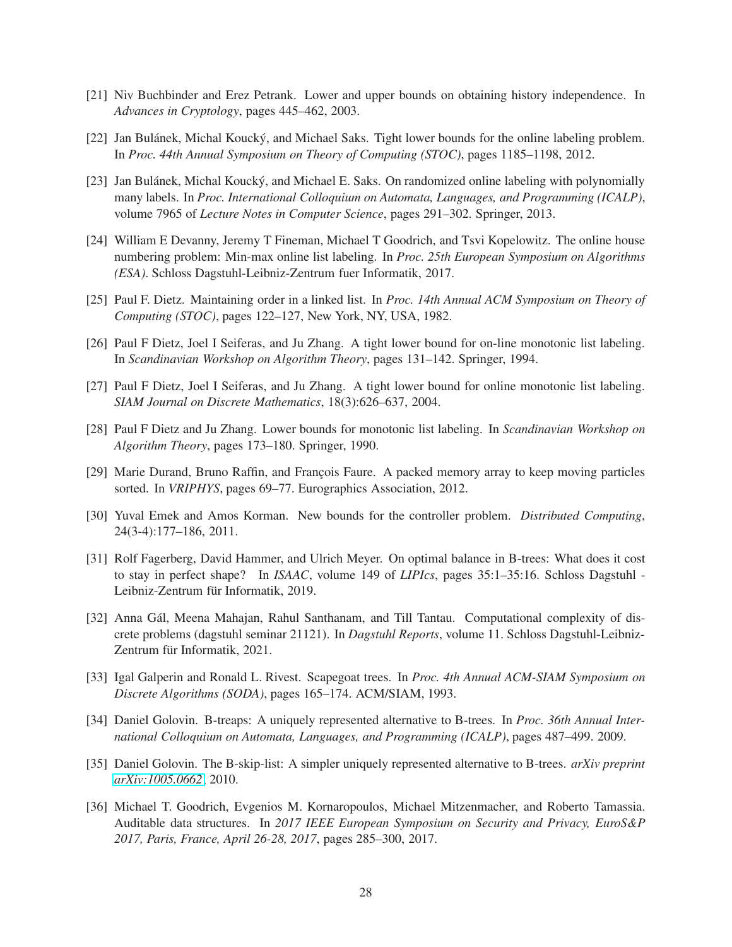- <span id="page-27-8"></span><span id="page-27-1"></span>[21] Niv Buchbinder and Erez Petrank. Lower and upper bounds on obtaining history independence. In *Advances in Cryptology*, pages 445–462, 2003.
- <span id="page-27-7"></span>[22] Jan Bulánek, Michal Koucký, and Michael Saks. Tight lower bounds for the online labeling problem. In *Proc. 44th Annual Symposium on Theory of Computing (STOC)*, pages 1185–1198, 2012.
- [23] Jan Bulánek, Michal Koucký, and Michael E. Saks. On randomized online labeling with polynomially many labels. In *Proc. International Colloquium on Automata, Languages, and Programming (ICALP)*, volume 7965 of *Lecture Notes in Computer Science*, pages 291–302. Springer, 2013.
- <span id="page-27-4"></span>[24] William E Devanny, Jeremy T Fineman, Michael T Goodrich, and Tsvi Kopelowitz. The online house numbering problem: Min-max online list labeling. In *Proc. 25th European Symposium on Algorithms (ESA)*. Schloss Dagstuhl-Leibniz-Zentrum fuer Informatik, 2017.
- <span id="page-27-5"></span><span id="page-27-2"></span>[25] Paul F. Dietz. Maintaining order in a linked list. In *Proc. 14th Annual ACM Symposium on Theory of Computing (STOC)*, pages 122–127, New York, NY, USA, 1982.
- <span id="page-27-11"></span>[26] Paul F Dietz, Joel I Seiferas, and Ju Zhang. A tight lower bound for on-line monotonic list labeling. In *Scandinavian Workshop on Algorithm Theory*, pages 131–142. Springer, 1994.
- <span id="page-27-3"></span>[27] Paul F Dietz, Joel I Seiferas, and Ju Zhang. A tight lower bound for online monotonic list labeling. *SIAM Journal on Discrete Mathematics*, 18(3):626–637, 2004.
- <span id="page-27-14"></span>[28] Paul F Dietz and Ju Zhang. Lower bounds for monotonic list labeling. In *Scandinavian Workshop on Algorithm Theory*, pages 173–180. Springer, 1990.
- [29] Marie Durand, Bruno Raffin, and François Faure. A packed memory array to keep moving particles sorted. In *VRIPHYS*, pages 69–77. Eurographics Association, 2012.
- <span id="page-27-13"></span><span id="page-27-12"></span>[30] Yuval Emek and Amos Korman. New bounds for the controller problem. *Distributed Computing*, 24(3-4):177–186, 2011.
- [31] Rolf Fagerberg, David Hammer, and Ulrich Meyer. On optimal balance in B-trees: What does it cost to stay in perfect shape? In *ISAAC*, volume 149 of *LIPIcs*, pages 35:1–35:16. Schloss Dagstuhl - Leibniz-Zentrum für Informatik, 2019.
- <span id="page-27-6"></span>[32] Anna Gál, Meena Mahajan, Rahul Santhanam, and Till Tantau. Computational complexity of discrete problems (dagstuhl seminar 21121). In *Dagstuhl Reports*, volume 11. Schloss Dagstuhl-Leibniz-Zentrum für Informatik, 2021.
- <span id="page-27-0"></span>[33] Igal Galperin and Ronald L. Rivest. Scapegoat trees. In *Proc. 4th Annual ACM-SIAM Symposium on Discrete Algorithms (SODA)*, pages 165–174. ACM/SIAM, 1993.
- <span id="page-27-9"></span>[34] Daniel Golovin. B-treaps: A uniquely represented alternative to B-trees. In *Proc. 36th Annual International Colloquium on Automata, Languages, and Programming (ICALP)*, pages 487–499. 2009.
- <span id="page-27-15"></span><span id="page-27-10"></span>[35] Daniel Golovin. The B-skip-list: A simpler uniquely represented alternative to B-trees. *arXiv preprint [arXiv:1005.0662](http://arxiv.org/abs/1005.0662)*, 2010.
- [36] Michael T. Goodrich, Evgenios M. Kornaropoulos, Michael Mitzenmacher, and Roberto Tamassia. Auditable data structures. In *2017 IEEE European Symposium on Security and Privacy, EuroS&P 2017, Paris, France, April 26-28, 2017*, pages 285–300, 2017.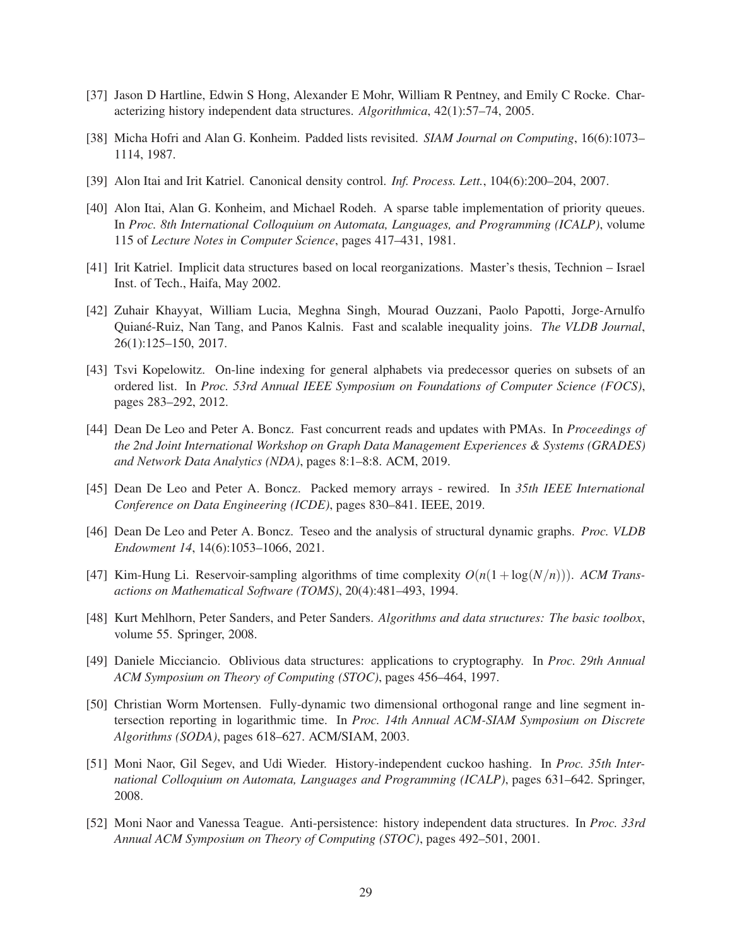- <span id="page-28-12"></span><span id="page-28-9"></span>[37] Jason D Hartline, Edwin S Hong, Alexander E Mohr, William R Pentney, and Emily C Rocke. Characterizing history independent data structures. *Algorithmica*, 42(1):57–74, 2005.
- <span id="page-28-0"></span>[38] Micha Hofri and Alan G. Konheim. Padded lists revisited. *SIAM Journal on Computing*, 16(6):1073– 1114, 1987.
- <span id="page-28-4"></span>[39] Alon Itai and Irit Katriel. Canonical density control. *Inf. Process. Lett.*, 104(6):200–204, 2007.
- [40] Alon Itai, Alan G. Konheim, and Michael Rodeh. A sparse table implementation of priority queues. In *Proc. 8th International Colloquium on Automata, Languages, and Programming (ICALP)*, volume 115 of *Lecture Notes in Computer Science*, pages 417–431, 1981.
- <span id="page-28-14"></span><span id="page-28-1"></span>[41] Irit Katriel. Implicit data structures based on local reorganizations. Master's thesis, Technion – Israel Inst. of Tech., Haifa, May 2002.
- [42] Zuhair Khayyat, William Lucia, Meghna Singh, Mourad Ouzzani, Paolo Papotti, Jorge-Arnulfo Quian´e-Ruiz, Nan Tang, and Panos Kalnis. Fast and scalable inequality joins. *The VLDB Journal*, 26(1):125–150, 2017.
- <span id="page-28-5"></span>[43] Tsvi Kopelowitz. On-line indexing for general alphabets via predecessor queries on subsets of an ordered list. In *Proc. 53rd Annual IEEE Symposium on Foundations of Computer Science (FOCS)*, pages 283–292, 2012.
- <span id="page-28-2"></span>[44] Dean De Leo and Peter A. Boncz. Fast concurrent reads and updates with PMAs. In *Proceedings of the 2nd Joint International Workshop on Graph Data Management Experiences & Systems (GRADES) and Network Data Analytics (NDA)*, pages 8:1–8:8. ACM, 2019.
- <span id="page-28-15"></span><span id="page-28-3"></span>[45] Dean De Leo and Peter A. Boncz. Packed memory arrays - rewired. In *35th IEEE International Conference on Data Engineering (ICDE)*, pages 830–841. IEEE, 2019.
- <span id="page-28-11"></span>[46] Dean De Leo and Peter A. Boncz. Teseo and the analysis of structural dynamic graphs. *Proc. VLDB Endowment 14*, 14(6):1053–1066, 2021.
- [47] Kim-Hung Li. Reservoir-sampling algorithms of time complexity  $O(n(1 + \log(N/n)))$ . *ACM Transactions on Mathematical Software (TOMS)*, 20(4):481–493, 1994.
- <span id="page-28-6"></span>[48] Kurt Mehlhorn, Peter Sanders, and Peter Sanders. *Algorithms and data structures: The basic toolbox*, volume 55. Springer, 2008.
- <span id="page-28-7"></span>[49] Daniele Micciancio. Oblivious data structures: applications to cryptography. In *Proc. 29th Annual ACM Symposium on Theory of Computing (STOC)*, pages 456–464, 1997.
- <span id="page-28-13"></span>[50] Christian Worm Mortensen. Fully-dynamic two dimensional orthogonal range and line segment intersection reporting in logarithmic time. In *Proc. 14th Annual ACM-SIAM Symposium on Discrete Algorithms (SODA)*, pages 618–627. ACM/SIAM, 2003.
- <span id="page-28-10"></span>[51] Moni Naor, Gil Segev, and Udi Wieder. History-independent cuckoo hashing. In *Proc. 35th International Colloquium on Automata, Languages and Programming (ICALP)*, pages 631–642. Springer, 2008.
- <span id="page-28-8"></span>[52] Moni Naor and Vanessa Teague. Anti-persistence: history independent data structures. In *Proc. 33rd Annual ACM Symposium on Theory of Computing (STOC)*, pages 492–501, 2001.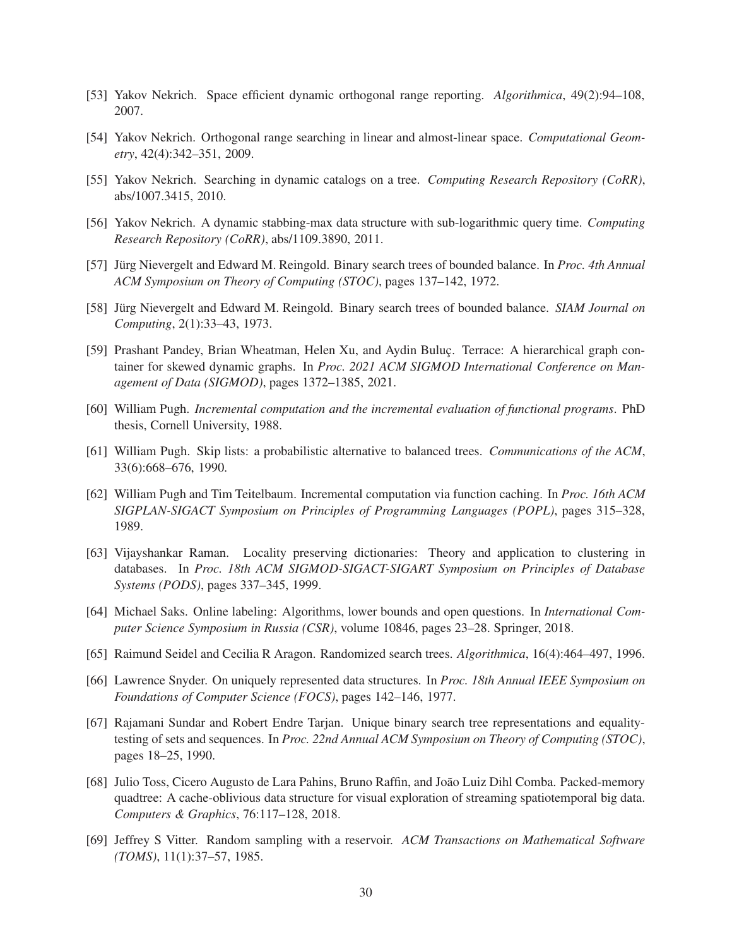- <span id="page-29-8"></span><span id="page-29-7"></span>[53] Yakov Nekrich. Space efficient dynamic orthogonal range reporting. *Algorithmica*, 49(2):94–108, 2007.
- <span id="page-29-10"></span>[54] Yakov Nekrich. Orthogonal range searching in linear and almost-linear space. *Computational Geometry*, 42(4):342–351, 2009.
- <span id="page-29-9"></span>[55] Yakov Nekrich. Searching in dynamic catalogs on a tree. *Computing Research Repository (CoRR)*, abs/1007.3415, 2010.
- <span id="page-29-3"></span>[56] Yakov Nekrich. A dynamic stabbing-max data structure with sub-logarithmic query time. *Computing Research Repository (CoRR)*, abs/1109.3890, 2011.
- <span id="page-29-4"></span>[57] Jürg Nievergelt and Edward M. Reingold. Binary search trees of bounded balance. In *Proc. 4th Annual ACM Symposium on Theory of Computing (STOC)*, pages 137–142, 1972.
- <span id="page-29-2"></span>[58] Jürg Nievergelt and Edward M. Reingold. Binary search trees of bounded balance. *SIAM Journal on Computing*, 2(1):33–43, 1973.
- [59] Prashant Pandey, Brian Wheatman, Helen Xu, and Aydin Buluc. Terrace: A hierarchical graph container for skewed dynamic graphs. In *Proc. 2021 ACM SIGMOD International Conference on Management of Data (SIGMOD)*, pages 1372–1385, 2021.
- <span id="page-29-12"></span>[60] William Pugh. *Incremental computation and the incremental evaluation of functional programs*. PhD thesis, Cornell University, 1988.
- <span id="page-29-13"></span>[61] William Pugh. Skip lists: a probabilistic alternative to balanced trees. *Communications of the ACM*, 33(6):668–676, 1990.
- [62] William Pugh and Tim Teitelbaum. Incremental computation via function caching. In *Proc. 16th ACM SIGPLAN-SIGACT Symposium on Principles of Programming Languages (POPL)*, pages 315–328, 1989.
- <span id="page-29-1"></span>[63] Vijayshankar Raman. Locality preserving dictionaries: Theory and application to clustering in databases. In *Proc. 18th ACM SIGMOD-SIGACT-SIGART Symposium on Principles of Database Systems (PODS)*, pages 337–345, 1999.
- <span id="page-29-0"></span>[64] Michael Saks. Online labeling: Algorithms, lower bounds and open questions. In *International Computer Science Symposium in Russia (CSR)*, volume 10846, pages 23–28. Springer, 2018.
- <span id="page-29-14"></span><span id="page-29-5"></span>[65] Raimund Seidel and Cecilia R Aragon. Randomized search trees. *Algorithmica*, 16(4):464–497, 1996.
- <span id="page-29-15"></span>[66] Lawrence Snyder. On uniquely represented data structures. In *Proc. 18th Annual IEEE Symposium on Foundations of Computer Science (FOCS)*, pages 142–146, 1977.
- [67] Rajamani Sundar and Robert Endre Tarjan. Unique binary search tree representations and equalitytesting of sets and sequences. In *Proc. 22nd Annual ACM Symposium on Theory of Computing (STOC)*, pages 18–25, 1990.
- <span id="page-29-11"></span>[68] Julio Toss, Cicero Augusto de Lara Pahins, Bruno Raffin, and João Luiz Dihl Comba. Packed-memory quadtree: A cache-oblivious data structure for visual exploration of streaming spatiotemporal big data. *Computers & Graphics*, 76:117–128, 2018.
- <span id="page-29-6"></span>[69] Jeffrey S Vitter. Random sampling with a reservoir. *ACM Transactions on Mathematical Software (TOMS)*, 11(1):37–57, 1985.